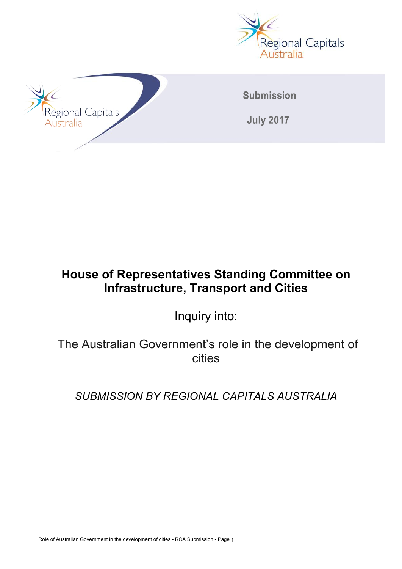



# **House of Representatives Standing Committee on Infrastructure, Transport and Cities**

Inquiry into:

The Australian Government's role in the development of cities

*SUBMISSION BY REGIONAL CAPITALS AUSTRALIA*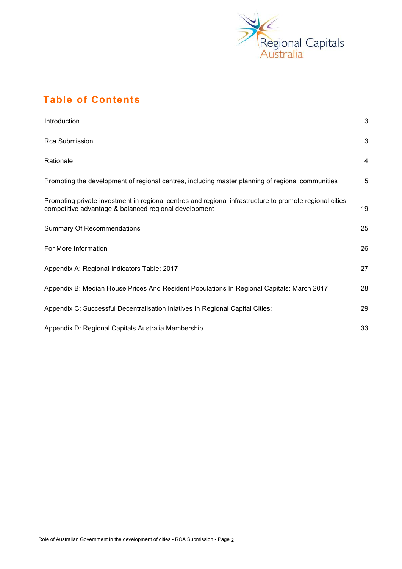

# **Table of Contents**

| Introduction                                                                                                                                                      | 3              |
|-------------------------------------------------------------------------------------------------------------------------------------------------------------------|----------------|
| <b>Rca Submission</b>                                                                                                                                             | 3              |
| Rationale                                                                                                                                                         | $\overline{4}$ |
| Promoting the development of regional centres, including master planning of regional communities                                                                  | 5              |
| Promoting private investment in regional centres and regional infrastructure to promote regional cities'<br>competitive advantage & balanced regional development | 19             |
| <b>Summary Of Recommendations</b>                                                                                                                                 | 25             |
| For More Information                                                                                                                                              | 26             |
| Appendix A: Regional Indicators Table: 2017                                                                                                                       | 27             |
| Appendix B: Median House Prices And Resident Populations In Regional Capitals: March 2017                                                                         | 28             |
| Appendix C: Successful Decentralisation Iniatives In Regional Capital Cities:                                                                                     | 29             |
| Appendix D: Regional Capitals Australia Membership                                                                                                                | 33             |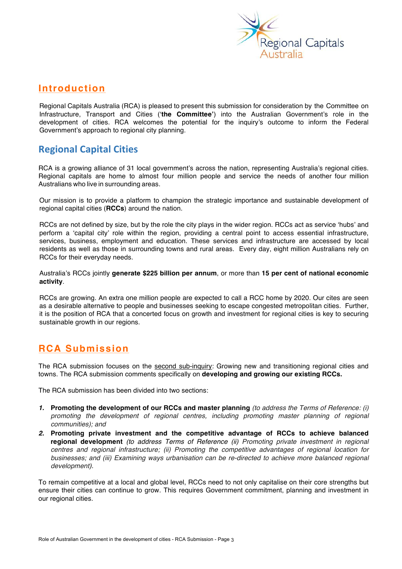

## **Introduction**

Regional Capitals Australia (RCA) is pleased to present this submission for consideration by the Committee on Infrastructure, Transport and Cities ('**the Committee'**) into the Australian Government's role in the development of cities. RCA welcomes the potential for the inquiry's outcome to inform the Federal Government's approach to regional city planning.

# **Regional Capital Cities**

RCA is a growing alliance of 31 local government's across the nation, representing Australia's regional cities. Regional capitals are home to almost four million people and service the needs of another four million Australians who live in surrounding areas.

Our mission is to provide a platform to champion the strategic importance and sustainable development of regional capital cities (**RCCs**) around the nation.

RCCs are not defined by size, but by the role the city plays in the wider region. RCCs act as service 'hubs' and perform a 'capital city' role within the region, providing a central point to access essential infrastructure, services, business, employment and education. These services and infrastructure are accessed by local residents as well as those in surrounding towns and rural areas. Every day, eight million Australians rely on RCCs for their everyday needs.

Australia's RCCs jointly **generate \$225 billion per annum**, or more than **15 per cent of national economic activity**.

RCCs are growing. An extra one million people are expected to call a RCC home by 2020. Our cites are seen as a desirable alternative to people and businesses seeking to escape congested metropolitan cities. Further, it is the position of RCA that a concerted focus on growth and investment for regional cities is key to securing sustainable growth in our regions.

# **RCA Submission**

The RCA submission focuses on the second sub-inquiry: Growing new and transitioning regional cities and towns. The RCA submission comments specifically on **developing and growing our existing RCCs.**

The RCA submission has been divided into two sections:

- *1.* **Promoting the development of our RCCs and master planning** *(to address the Terms of Reference: (i) promoting the development of regional centres, including promoting master planning of regional communities); and*
- *2.* **Promoting private investment and the competitive advantage of RCCs to achieve balanced regional development** *(to address Terms of Reference (ii) Promoting private investment in regional centres and regional infrastructure; (ii) Promoting the competitive advantages of regional location for businesses; and (iii) Examining ways urbanisation can be re-directed to achieve more balanced regional development).*

To remain competitive at a local and global level, RCCs need to not only capitalise on their core strengths but ensure their cities can continue to grow. This requires Government commitment, planning and investment in our regional cities.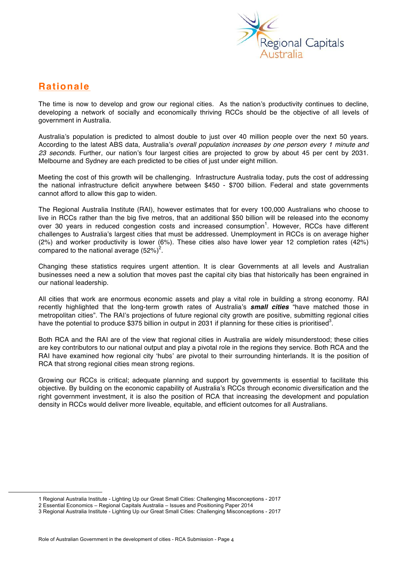

# **Rationale**

The time is now to develop and grow our regional cities. As the nation's productivity continues to decline, developing a network of socially and economically thriving RCCs should be the objective of all levels of government in Australia.

Australia's population is predicted to almost double to just over 40 million people over the next 50 years. According to the latest ABS data, Australia's *overall population increases by one person every 1 minute and 23 seconds.* Further, our nation's four largest cities are projected to grow by about 45 per cent by 2031. Melbourne and Sydney are each predicted to be cities of just under eight million.

Meeting the cost of this growth will be challenging. Infrastructure Australia today, puts the cost of addressing the national infrastructure deficit anywhere between \$450 - \$700 billion. Federal and state governments cannot afford to allow this gap to widen.

The Regional Australia Institute (RAI), however estimates that for every 100,000 Australians who choose to live in RCCs rather than the big five metros, that an additional \$50 billion will be released into the economy over 30 years in reduced congestion costs and increased consumption<sup>1</sup>. However, RCCs have different challenges to Australia's largest cities that must be addressed. Unemployment in RCCs is on average higher (2%) and worker productivity is lower (6%). These cities also have lower year 12 completion rates (42%) compared to the national average  $(52\%)^2$ .

Changing these statistics requires urgent attention. It is clear Governments at all levels and Australian businesses need a new a solution that moves past the capital city bias that historically has been engrained in our national leadership.

All cities that work are enormous economic assets and play a vital role in building a strong economy. RAI recently highlighted that the long-term growth rates of Australia's *small cities* "have matched those in metropolitan cities". The RAI's projections of future regional city growth are positive, submitting regional cities have the potential to produce \$375 billion in output in 2031 if planning for these cities is prioritised<sup>3</sup>.

Both RCA and the RAI are of the view that regional cities in Australia are widely misunderstood; these cities are key contributors to our national output and play a pivotal role in the regions they service. Both RCA and the RAI have examined how regional city 'hubs' are pivotal to their surrounding hinterlands. It is the position of RCA that strong regional cities mean strong regions.

Growing our RCCs is critical; adequate planning and support by governments is essential to facilitate this objective. By building on the economic capability of Australia's RCCs through economic diversification and the right government investment, it is also the position of RCA that increasing the development and population density in RCCs would deliver more liveable, equitable, and efficient outcomes for all Australians.

 <sup>1</sup> Regional Australia Institute - Lighting Up our Great Small Cities: Challenging Misconceptions - <sup>2017</sup>

<sup>2</sup> Essential Economics – Regional Capitals Australia – Issues and Positioning Paper 2014

<sup>3</sup> Regional Australia Institute - Lighting Up our Great Small Cities: Challenging Misconceptions - 2017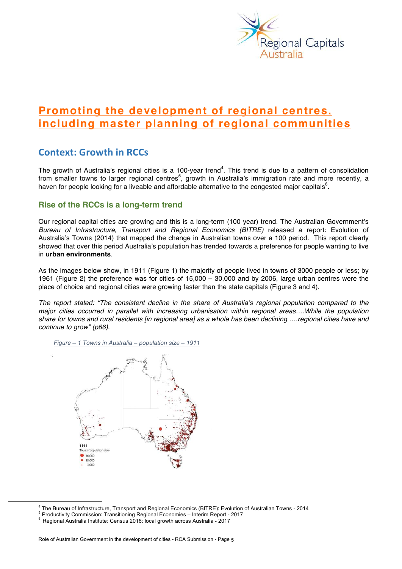

# **Promoting the development of regional centres, including master planning of regional communities**

# **Context: Growth in RCCs**

The growth of Australia's regional cities is a 100-year trend<sup>4</sup>. This trend is due to a pattern of consolidation from smaller towns to larger regional centres<sup>5</sup>, growth in Australia's immigration rate and more recently, a haven for people looking for a liveable and affordable alternative to the congested major capitals  $\text{\^6}.$ 

## **Rise of the RCCs is a long-term trend**

Our regional capital cities are growing and this is a long-term (100 year) trend. The Australian Government's *Bureau of Infrastructure, Transport and Regional Economics (BITRE)* released a report: Evolution of Australia's Towns (2014) that mapped the change in Australian towns over a 100 period. This report clearly showed that over this period Australia's population has trended towards a preference for people wanting to live in **urban environments**.

As the images below show, in 1911 (Figure 1) the majority of people lived in towns of 3000 people or less; by 1961 (Figure 2) the preference was for cities of 15,000 – 30,000 and by 2006, large urban centres were the place of choice and regional cities were growing faster than the state capitals (Figure 3 and 4).

*The report stated: "The consistent decline in the share of Australia's regional population compared to the major cities occurred in parallel with increasing urbanisation within regional areas….While the population share for towns and rural residents [in regional area] as a whole has been declining ….regional cities have and continue to grow" (p66).*





<sup>&</sup>lt;sup>4</sup> The Bureau of Infrastructure, Transport and Regional Economics (BITRE): Evolution of Australian Towns - 2014<br><sup>5</sup> Productivity Commission: Transitioning Regional Economies – Interim Report - 2017<br><sup>6</sup> Regional Australia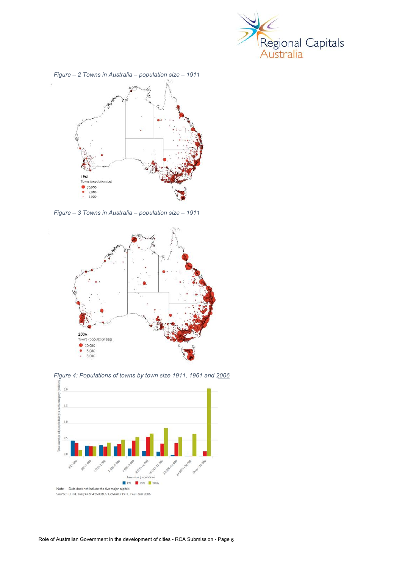



*Figure – 3 Towns in Australia – population size – 1911*



*Figure 4: Populations of towns by town size 1911, 1961 and 2006*

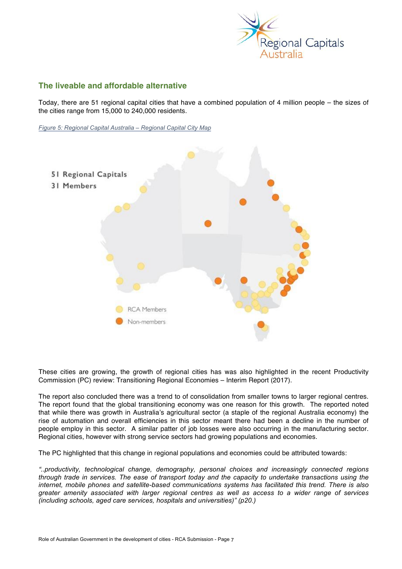

## **The liveable and affordable alternative**

Today, there are 51 regional capital cities that have a combined population of 4 million people – the sizes of the cities range from 15,000 to 240,000 residents.

*Figure 5: Regional Capital Australia – Regional Capital City Map*



These cities are growing, the growth of regional cities has was also highlighted in the recent Productivity Commission (PC) review: Transitioning Regional Economies – Interim Report (2017).

The report also concluded there was a trend to of consolidation from smaller towns to larger regional centres. The report found that the global transitioning economy was one reason for this growth. The reported noted that while there was growth in Australia's agricultural sector (a staple of the regional Australia economy) the rise of automation and overall efficiencies in this sector meant there had been a decline in the number of people employ in this sector. A similar patter of job losses were also occurring in the manufacturing sector. Regional cities, however with strong service sectors had growing populations and economies.

The PC highlighted that this change in regional populations and economies could be attributed towards:

*"..productivity, technological change, demography, personal choices and increasingly connected regions through trade in services. The ease of transport today and the capacity to undertake transactions using the internet, mobile phones and satellite-based communications systems has facilitated this trend. There is also greater amenity associated with larger regional centres as well as access to a wider range of services (including schools, aged care services, hospitals and universities)" (p20.)*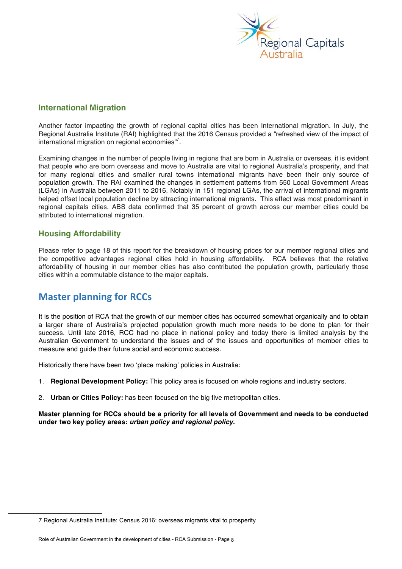

## **International Migration**

Another factor impacting the growth of regional capital cities has been International migration. In July, the Regional Australia Institute (RAI) highlighted that the 2016 Census provided a "refreshed view of the impact of international migration on regional economies"<sup>7</sup>.

Examining changes in the number of people living in regions that are born in Australia or overseas, it is evident that people who are born overseas and move to Australia are vital to regional Australia's prosperity, and that for many regional cities and smaller rural towns international migrants have been their only source of population growth. The RAI examined the changes in settlement patterns from 550 Local Government Areas (LGAs) in Australia between 2011 to 2016. Notably in 151 regional LGAs, the arrival of international migrants helped offset local population decline by attracting international migrants. This effect was most predominant in regional capitals cities. ABS data confirmed that 35 percent of growth across our member cities could be attributed to international migration.

## **Housing Affordability**

Please refer to page 18 of this report for the breakdown of housing prices for our member regional cities and the competitive advantages regional cities hold in housing affordability. RCA believes that the relative affordability of housing in our member cities has also contributed the population growth, particularly those cities within a commutable distance to the major capitals.

# **Master planning for RCCs**

It is the position of RCA that the growth of our member cities has occurred somewhat organically and to obtain a larger share of Australia's projected population growth much more needs to be done to plan for their success. Until late 2016, RCC had no place in national policy and today there is limited analysis by the Australian Government to understand the issues and of the issues and opportunities of member cities to measure and guide their future social and economic success.

Historically there have been two 'place making' policies in Australia:

- 1. **Regional Development Policy:** This policy area is focused on whole regions and industry sectors.
- 2. **Urban or Cities Policy:** has been focused on the big five metropolitan cities.

**Master planning for RCCs should be a priority for all levels of Government and needs to be conducted under two key policy areas:** *urban policy and regional policy.*

 <sup>7</sup> Regional Australia Institute: Census 2016: overseas migrants vital to prosperity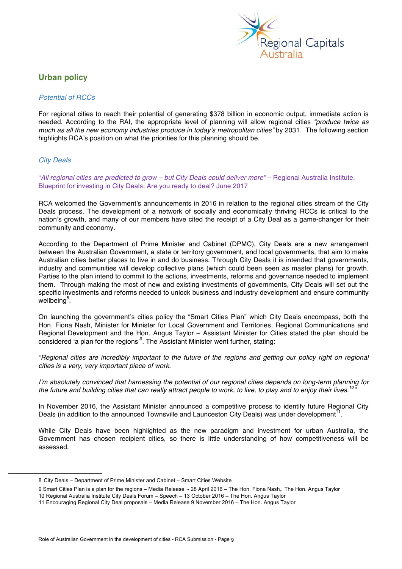

## **Urban policy**

#### *Potential of RCCs*

For regional cities to reach their potential of generating \$378 billion in economic output, immediate action is needed. According to the RAI, the appropriate level of planning will allow regional cities *"produce twice as much as all the new economy industries produce in today's metropolitan cities"* by 2031*.* The following section highlights RCA's position on what the priorities for this planning should be.

## *City Deals*

"*All regional cities are predicted to grow – but City Deals could deliver more"* – Regional Australia Institute, Blueprint for investing in City Deals: Are you ready to deal? June 2017

RCA welcomed the Government's announcements in 2016 in relation to the regional cities stream of the City Deals process. The development of a network of socially and economically thriving RCCs is critical to the nation's growth, and many of our members have cited the receipt of a City Deal as a game-changer for their community and economy.

According to the Department of Prime Minister and Cabinet (DPMC), City Deals are a new arrangement between the Australian Government, a state or territory government, and local governments, that aim to make Australian cities better places to live in and do business. Through City Deals it is intended that governments, industry and communities will develop collective plans (which could been seen as master plans) for growth. Parties to the plan intend to commit to the actions, investments, reforms and governance needed to implement them. Through making the most of new and existing investments of governments, City Deals will set out the specific investments and reforms needed to unlock business and industry development and ensure community wellbeing<sup>8</sup>.

On launching the government's cities policy the "Smart Cities Plan" which City Deals encompass, both the Hon. Fiona Nash, Minister for Minister for Local Government and Territories, Regional Communications and Regional Development and the Hon. Angus Taylor – Assistant Minister for Cities stated the plan should be considered 'a plan for the regions'<sup>9</sup>. The Assistant Minister went further, stating:

*"Regional cities are incredibly important to the future of the regions and getting our policy right on regional cities is a very, very important piece of work.*

*I'm absolutely convinced that harnessing the potential of our regional cities depends on long-term planning for the future and building cities that can really attract people to work, to live, to play and to enjoy their lives.10"* 

In November 2016, the Assistant Minister announced a competitive process to identify future Regional City Deals (in addition to the announced Townsville and Launceston City Deals) was under development<sup>11</sup>.

While City Deals have been highlighted as the new paradigm and investment for urban Australia, the Government has chosen recipient cities, so there is little understanding of how competitiveness will be assessed.

 <sup>8</sup> City Deals – Department of Prime Minister and Cabinet – Smart Cities Website

<sup>9</sup> Smart Cities Plan is a plan for the regions – Media Release - 28 April 2016 – The Hon. Fiona Nash, The Hon. Angus Taylor

<sup>10</sup> Regional Australia Institute City Deals Forum – Speech – 13 October 2016 – The Hon. Angus Taylor

<sup>11</sup> Encouraging Regional City Deal proposals – Media Release 9 November 2016 – The Hon. Angus Taylor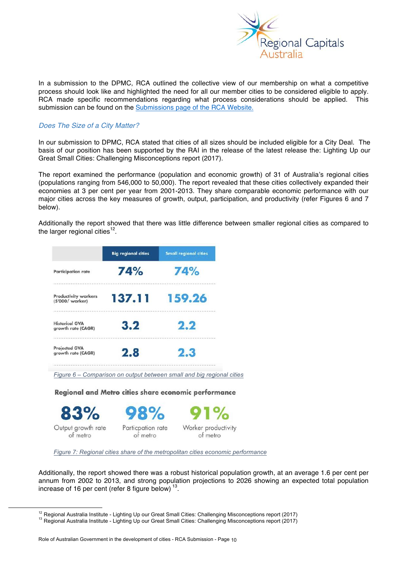

In a submission to the DPMC, RCA outlined the collective view of our membership on what a competitive process should look like and highlighted the need for all our member cities to be considered eligible to apply. RCA made specific recommendations regarding what process considerations should be applied. This submission can be found on the Submissions page of the RCA Website.

## *Does The Size of a City Matter?*

In our submission to DPMC, RCA stated that cities of all sizes should be included eligible for a City Deal. The basis of our position has been supported by the RAI in the release of the latest release the: Lighting Up our Great Small Cities: Challenging Misconceptions report (2017).

The report examined the performance (population and economic growth) of 31 of Australia's regional cities (populations ranging from 546,000 to 50,000). The report revealed that these cities collectively expanded their economies at 3 per cent per year from 2001-2013. They share comparable economic performance with our major cities across the key measures of growth, output, participation, and productivity (refer Figures 6 and 7 below).

Additionally the report showed that there was little difference between smaller regional cities as compared to the larger regional cities<sup>12</sup>.

|                                                 | <b>Big regional cities</b>    | <b>Small regional cities</b>                                          |
|-------------------------------------------------|-------------------------------|-----------------------------------------------------------------------|
| <b>Participation rate</b>                       | 74%                           | 74%                                                                   |
| <b>Productivity workers</b><br>(\$'000/ worker) | 137.11                        | 159.26                                                                |
| <b>Historical GVA</b><br>growth rate (CAGR)     | 3.2                           | 2.2                                                                   |
| <b>Projected GVA</b><br>growth rate (CAGR)      | 2.8                           | 2.3                                                                   |
|                                                 |                               | Figure 6 - Comparison on output between small and big regional cities |
|                                                 |                               | Regional and Metro cities share economic performance                  |
| 83%                                             | 98%                           | 91%                                                                   |
| Output growth rate<br>of metro                  | Particpation rate<br>of metro | Worker productivity<br>of metro                                       |

*Figure 7: Regional cities share of the metropolitan cities economic performance* 

Additionally, the report showed there was a robust historical population growth, at an average 1.6 per cent per annum from 2002 to 2013, and strong population projections to 2026 showing an expected total population increase of 16 per cent (refer 8 figure below) 13.

<sup>&</sup>lt;sup>12</sup> Regional Australia Institute - Lighting Up our Great Small Cities: Challenging Misconceptions report (2017) <sup>13</sup> Regional Australia Institute - Lighting Up our Great Small Cities: Challenging Misconceptions report (2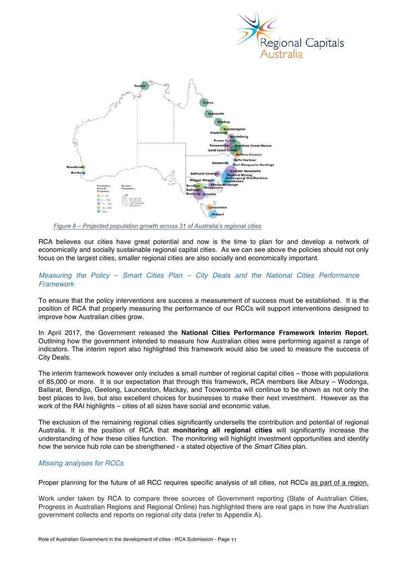



*Figure 8 – Projected population growth across 31 of Australia's regional cities*

RCA believes our cities have great potential and now is the time to plan for and develop a network of economically and socially sustainable regional capital cities. As we can see above the policies should not only focus on the largest cities, smaller regional cities are also socially and economically important.

#### *Measuring the Policy – Smart Cities Plan – City Deals and the National Cities Performance Framework*

To ensure that the policy interventions are success a measurement of success must be established. It is the position of RCA that properly measuring the performance of our RCCs will support interventions designed to improve how Australian cities grow.

In April 2017, the Government released the **National Cities Performance Framework Interim Report.**  Outlining how the government intended to measure how Australian cities were performing against a range of indicators. The interim report also highlighted this framework would also be used to measure the success of City Deals.

The interim framework however only includes a small number of regional capital cities – those with populations of 85,000 or more. It is our expectation that through this framework, RCA members like Albury – Wodonga, Ballarat, Bendigo, Geelong, Launceston, Mackay, and Toowoomba will continue to be shown as not only the best places to live, but also excellent choices for businesses to make their next investment. However as the work of the RAI highlights – cities of all sizes have social and economic value.

The exclusion of the remaining regional cities significantly undersells the contribution and potential of regional Australia. It is the position of RCA that **monitoring all regional cities** will significantly increase the understanding of how these cities function. The monitoring will highlight investment opportunities and identify how the service hub role can be strengthened - a stated objective of the *Smart Cities* plan.

## *Missing analyses for RCCs*

Proper planning for the future of all RCC requires specific analysis of all cities, not RCCs as part of a region.

Work under taken by RCA to compare three sources of Government reporting (State of Australian Cities, Progress in Australian Regions and Regional Online) has highlighted there are real gaps in how the Australian government collects and reports on regional city data (refer to Appendix A).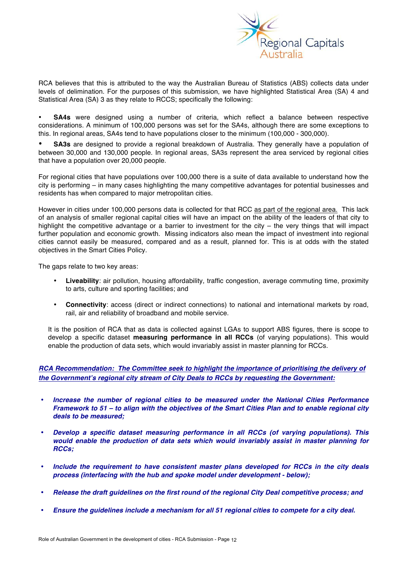

RCA believes that this is attributed to the way the Australian Bureau of Statistics (ABS) collects data under levels of delimination. For the purposes of this submission, we have highlighted Statistical Area (SA) 4 and Statistical Area (SA) 3 as they relate to RCCS; specifically the following:

• **SA4s** were designed using a number of criteria, which reflect a balance between respective considerations. A minimum of 100,000 persons was set for the SA4s, although there are some exceptions to this. In regional areas, SA4s tend to have populations closer to the minimum (100,000 - 300,000).

• **SA3s** are designed to provide a regional breakdown of Australia. They generally have a population of between 30,000 and 130,000 people. In regional areas, SA3s represent the area serviced by regional cities that have a population over 20,000 people.

For regional cities that have populations over 100,000 there is a suite of data available to understand how the city is performing – in many cases highlighting the many competitive advantages for potential businesses and residents has when compared to major metropolitan cities.

However in cities under 100,000 persons data is collected for that RCC as part of the regional area. This lack of an analysis of smaller regional capital cities will have an impact on the ability of the leaders of that city to highlight the competitive advantage or a barrier to investment for the city – the very things that will impact further population and economic growth. Missing indicators also mean the impact of investment into regional cities cannot easily be measured, compared and as a result, planned for. This is at odds with the stated objectives in the Smart Cities Policy.

The gaps relate to two key areas:

- **Liveability**: air pollution, housing affordability, traffic congestion, average commuting time, proximity to arts, culture and sporting facilities; and
- **Connectivity**: access (direct or indirect connections) to national and international markets by road, rail, air and reliability of broadband and mobile service.

It is the position of RCA that as data is collected against LGAs to support ABS figures, there is scope to develop a specific dataset **measuring performance in all RCCs** (of varying populations). This would enable the production of data sets, which would invariably assist in master planning for RCCs.

## *RCA Recommendation: The Committee seek to highlight the importance of prioritising the delivery of the Government's regional city stream of City Deals to RCCs by requesting the Government:*

- *Increase the number of regional cities to be measured under the National Cities Performance Framework to 51 – to align with the objectives of the Smart Cities Plan and to enable regional city deals to be measured;*
- *Develop a specific dataset measuring performance in all RCCs (of varying populations). This would enable the production of data sets which would invariably assist in master planning for RCCs;*
- *Include the requirement to have consistent master plans developed for RCCs in the city deals process (interfacing with the hub and spoke model under development - below);*
- *Release the draft guidelines on the first round of the regional City Deal competitive process; and*
- *Ensure the guidelines include a mechanism for all 51 regional cities to compete for a city deal.*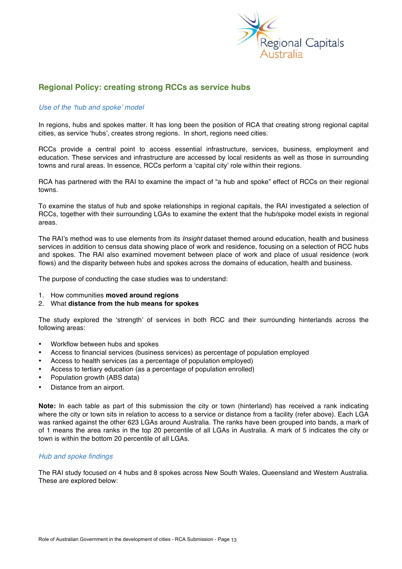

## **Regional Policy: creating strong RCCs as service hubs**

#### *Use of the 'hub and spoke' model*

In regions, hubs and spokes matter. It has long been the position of RCA that creating strong regional capital cities, as service 'hubs', creates strong regions. In short, regions need cities.

RCCs provide a central point to access essential infrastructure, services, business, employment and education. These services and infrastructure are accessed by local residents as well as those in surrounding towns and rural areas. In essence, RCCs perform a 'capital city' role within their regions.

RCA has partnered with the RAI to examine the impact of "a hub and spoke" effect of RCCs on their regional towns.

To examine the status of hub and spoke relationships in regional capitals, the RAI investigated a selection of RCCs, together with their surrounding LGAs to examine the extent that the hub/spoke model exists in regional areas.

The RAI's method was to use elements from its *Insight* dataset themed around education, health and business services in addition to census data showing place of work and residence, focusing on a selection of RCC hubs and spokes. The RAI also examined movement between place of work and place of usual residence (work flows) and the disparity between hubs and spokes across the domains of education, health and business.

The purpose of conducting the case studies was to understand:

- 1. How communities **moved around regions**
- 2. What **distance from the hub means for spokes**

The study explored the 'strength' of services in both RCC and their surrounding hinterlands across the following areas:

- Workflow between hubs and spokes
- Access to financial services (business services) as percentage of population employed
- Access to health services (as a percentage of population employed)
- Access to tertiary education (as a percentage of population enrolled)
- Population growth (ABS data)
- Distance from an airport.

**Note:** In each table as part of this submission the city or town (hinterland) has received a rank indicating where the city or town sits in relation to access to a service or distance from a facility (refer above). Each LGA was ranked against the other 623 LGAs around Australia. The ranks have been grouped into bands, a mark of of 1 means the area ranks in the top 20 percentile of all LGAs in Australia. A mark of 5 indicates the city or town is within the bottom 20 percentile of all LGAs.

#### *Hub and spoke findings*

The RAI study focused on 4 hubs and 8 spokes across New South Wales, Queensland and Western Australia. These are explored below: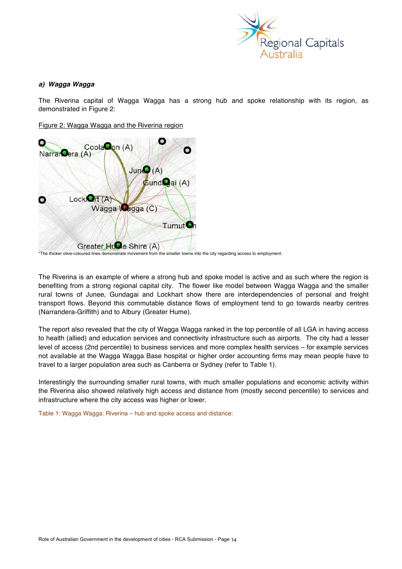

## *a) Wagga Wagga*

The Riverina capital of Wagga Wagga has a strong hub and spoke relationship with its region, as demonstrated in Figure 2:

Figure 2: Wagga Wagga and the Riverina region



<sup>\*</sup>The thicker olive-coloured lines demonstrate movement from the smaller towns into the city regarding access to employment.

The Riverina is an example of where a strong hub and spoke model is active and as such where the region is benefiting from a strong regional capital city. The flower like model between Wagga Wagga and the smaller rural towns of Junee, Gundagai and Lockhart show there are interdependencies of personal and freight transport flows. Beyond this commutable distance flows of employment tend to go towards nearby centres (Narrandera-Griffith) and to Albury (Greater Hume).

The report also revealed that the city of Wagga Wagga ranked in the top percentile of all LGA in having access to health (allied) and education services and connectivity infrastructure such as airports. The city had a lesser level of access (2nd percentile) to business services and more complex health services – for example services not available at the Wagga Wagga Base hospital or higher order accounting firms may mean people have to travel to a larger population area such as Canberra or Sydney (refer to Table 1).

Interestingly the surrounding smaller rural towns, with much smaller populations and economic activity within the Riverina also showed relatively high access and distance from (mostly second percentile) to services and infrastructure where the city access was higher or lower.

Table 1: Wagga Wagga: Riverina – hub and spoke access and distance: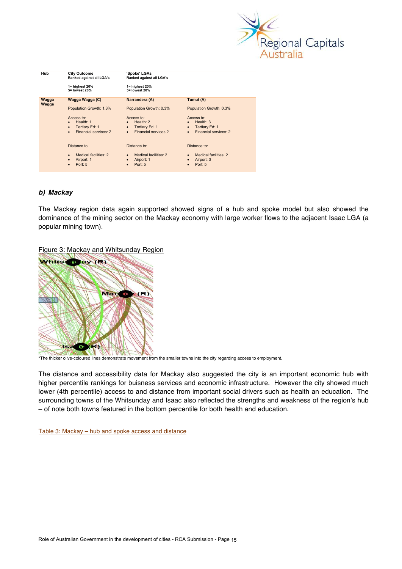

| Hub            | <b>City Outcome</b><br>Ranked against all LGA's | 'Spoke' LGAs<br>Ranked against all LGA's |                                    |
|----------------|-------------------------------------------------|------------------------------------------|------------------------------------|
|                | $1 =$ highest 20%<br>5= lowest 20%              | $1 =$ highest 20%<br>5= lowest 20%       |                                    |
| Wagga<br>Wagga | Wagga Wagga (C)                                 | Narrandera (A)                           | Tumut (A)                          |
|                | Population Growth: 1.3%                         | Population Growth: 0.3%                  | Population Growth: 0.3%            |
|                | Access to:                                      | Access to:                               | Access to:                         |
|                | Health: 1<br>$\bullet$                          | Health: $2$<br>$\bullet$                 | Health: $3$                        |
|                | Tertiary Ed: 1<br>$\bullet$                     | Tertiary Ed: 1<br>$\bullet$              | Tertiary Ed: 1<br>$\bullet$        |
|                | Financial services: 2<br>$\bullet$              | <b>Financial services 2</b><br>$\bullet$ | Financial services: 2<br>$\bullet$ |
|                | Distance to:                                    | Distance to:                             | Distance to:                       |
|                | Medical facilities: 2<br>$\bullet$              | Medical facilities: 2                    | Medical facilities: 2              |
|                | Airport: 1<br>$\bullet$                         | Airport: 1<br>$\bullet$                  | Airport: 3                         |
|                | Port: $5$<br>$\bullet$                          | Port: $5$                                | Port: 5                            |

## *b) Mackay*

The Mackay region data again supported showed signs of a hub and spoke model but also showed the dominance of the mining sector on the Mackay economy with large worker flows to the adjacent Isaac LGA (a popular mining town).

Figure 3: Mackay and Whitsunday Region



\*The thicker olive-coloured lines demonstrate movement from the smaller towns into the city regarding access to employment.

The distance and accessibility data for Mackay also suggested the city is an important economic hub with higher percentile rankings for buisness services and economic infrastructure. However the city showed much lower (4th percentile) access to and distance from important social drivers such as health an education. The surrounding towns of the Whitsunday and Isaac also reflected the strengths and weakness of the region's hub – of note both towns featured in the bottom percentile for both health and education.

Table 3: Mackay – hub and spoke access and distance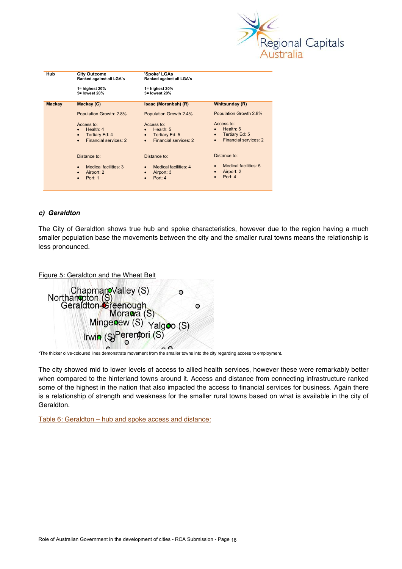

| Hub           | <b>City Outcome</b><br>Ranked against all LGA's                                                             | 'Spoke' LGAs<br>Ranked against all LGA's                                                       |                                                                                                |  |  |  |  |
|---------------|-------------------------------------------------------------------------------------------------------------|------------------------------------------------------------------------------------------------|------------------------------------------------------------------------------------------------|--|--|--|--|
|               | $1 =$ highest 20%<br>5= lowest 20%                                                                          | $1 =$ highest 20%<br>5= lowest 20%                                                             |                                                                                                |  |  |  |  |
| <b>Mackay</b> | Mackay (C)                                                                                                  | Isaac (Moranbah) (R)                                                                           | Whitsunday (R)                                                                                 |  |  |  |  |
|               | Population Growth: 2.8%                                                                                     | Population Growth 2.4%                                                                         | Population Growth 2.8%                                                                         |  |  |  |  |
|               | Access to:<br>Health: $4$<br>$\bullet$<br>Tertiary Ed: 4<br>$\bullet$<br>Financial services: 2<br>$\bullet$ | Access to:<br>Health: $5$<br>Tertiary Ed: 5<br>$\bullet$<br>Financial services: 2<br>$\bullet$ | Access to:<br>Health: $5$<br>Tertiary Ed: 5<br>$\bullet$<br>Financial services: 2<br>$\bullet$ |  |  |  |  |
|               | Distance to:                                                                                                | Distance to:                                                                                   | Distance to:                                                                                   |  |  |  |  |
|               | Medical facilities: 3<br>$\bullet$<br>Airport: 2<br>$\bullet$<br>Port: 1<br>$\bullet$                       | Medical facilities: 4<br>Airport: 3<br>Port: 4<br>$\bullet$                                    | Medical facilities: 5<br>$\bullet$<br>Airport: 2<br>$\bullet$<br>Port: 4<br>$\bullet$          |  |  |  |  |

#### *c) Geraldton*

The City of Geraldton shows true hub and spoke characteristics, however due to the region having a much smaller population base the movements between the city and the smaller rural towns means the relationship is less pronounced.

Figure 5: Geraldton and the Wheat Belt

| O                                                                            |   |
|------------------------------------------------------------------------------|---|
| Chapman Valley (S)<br>Northan pton (S)<br>Geraldton Creenough<br>Mora wa (S) | o |
| Mingenew (S) Yalgoo (S)                                                      |   |
| Irwin (S)Perentori (S)                                                       |   |

\*The thicker olive-coloured lines demonstrate movement from the smaller towns into the city regarding access to employment.

The city showed mid to lower levels of access to allied health services, however these were remarkably better when compared to the hinterland towns around it. Access and distance from connecting infrastructure ranked some of the highest in the nation that also impacted the access to financial services for business. Again there is a relationship of strength and weakness for the smaller rural towns based on what is available in the city of Geraldton.

Table 6: Geraldton – hub and spoke access and distance: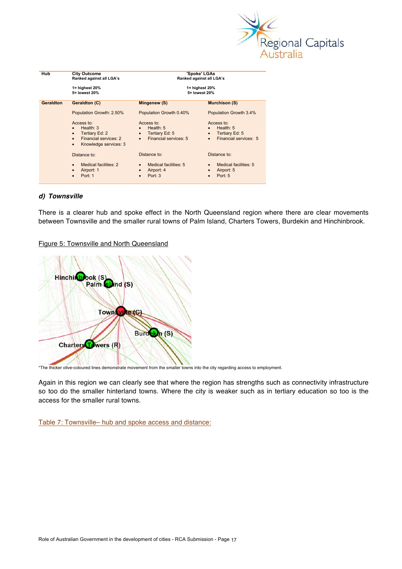

| <b>Hub</b> | <b>City Outcome</b><br>Ranked against all LGA's<br>1= highest 20%<br>5= lowest 20%                                                                | 'Spoke' LGAs<br>Ranked against all LGA's<br>1= highest 20%<br>5= lowest 20%                                 |                                                                                                |  |  |  |
|------------|---------------------------------------------------------------------------------------------------------------------------------------------------|-------------------------------------------------------------------------------------------------------------|------------------------------------------------------------------------------------------------|--|--|--|
| Geraldton  | <b>Geraldton (C)</b>                                                                                                                              | Mingenew (S)                                                                                                | <b>Murchison (S)</b>                                                                           |  |  |  |
|            | Population Growth: 2.50%                                                                                                                          | Population Growth 0.40%                                                                                     | Population Growth 3.4%                                                                         |  |  |  |
|            | Access to:<br>Health: $3$<br>$\bullet$<br>Tertiary Ed: 2<br>$\bullet$<br>Financial services: 2<br>$\bullet$<br>Knowledge services: 3<br>$\bullet$ | Access to:<br>Health: $5$<br>$\bullet$<br>Tertiary Ed: 5<br>$\bullet$<br>Financial services: 5<br>$\bullet$ | Access to:<br>Health: $5$<br>Tertiary Ed: 5<br>$\bullet$<br>Financial services: 5<br>$\bullet$ |  |  |  |
|            | Distance to:                                                                                                                                      | Distance to:                                                                                                | Distance to:                                                                                   |  |  |  |
|            | Medical facilities: 2<br>$\bullet$<br>Airport: 1<br>Port: 1                                                                                       | Medical facilities: 5<br>$\bullet$<br>Airport: 4<br>$\bullet$<br>Port: 3                                    | Medical facilities: 5<br>Airport: 5<br>Port: 5                                                 |  |  |  |

#### *d) Townsville*

There is a clearer hub and spoke effect in the North Queensland region where there are clear movements between Townsville and the smaller rural towns of Palm Island, Charters Towers, Burdekin and Hinchinbrook.

Figure 5: Townsville and North Queensland



\*The thicker olive-coloured lines demonstrate movement from the smaller towns into the city regarding access to employment.

Again in this region we can clearly see that where the region has strengths such as connectivity infrastructure so too do the smaller hinterland towns. Where the city is weaker such as in tertiary education so too is the access for the smaller rural towns.

Table 7: Townsville– hub and spoke access and distance: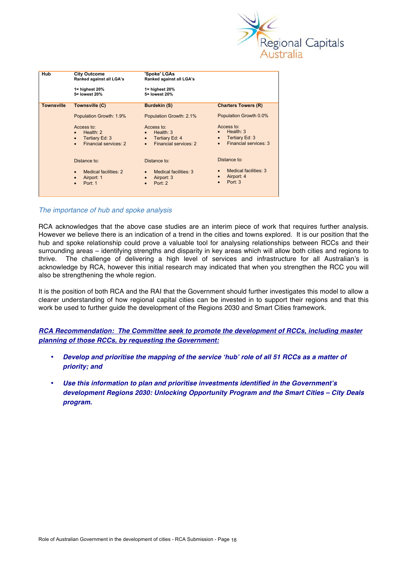

| <b>Hub</b>        | <b>City Outcome</b><br>Ranked against all LGA's<br>$1 =$ highest 20% | 'Spoke' LGAs<br>Ranked against all LGA's<br>$1 =$ highest 20%     |                                                                   |  |  |  |  |
|-------------------|----------------------------------------------------------------------|-------------------------------------------------------------------|-------------------------------------------------------------------|--|--|--|--|
|                   | 5= lowest 20%                                                        | 5= lowest 20%                                                     |                                                                   |  |  |  |  |
| <b>Townsville</b> | Townsville (C)                                                       | <b>Burdekin (S)</b>                                               | <b>Charters Towers (R)</b>                                        |  |  |  |  |
|                   | Population Growth: 1.9%                                              | Population Growth: 2.1%                                           | Population Growth 0.0%                                            |  |  |  |  |
|                   | Access to:<br>Health: $2$<br>$\bullet$                               | Access to:<br>Health: $3$                                         | Access to:<br>Health: $3$                                         |  |  |  |  |
|                   | Tertiary Ed: 3<br>$\bullet$<br>Financial services: 2<br>$\bullet$    | Tertiary Ed: 4<br>$\bullet$<br>Financial services: 2<br>$\bullet$ | Tertiary Ed: 3<br>$\bullet$<br>Financial services: 3<br>$\bullet$ |  |  |  |  |
|                   | Distance to:                                                         | Distance to:                                                      | Distance to:                                                      |  |  |  |  |
|                   | Medical facilities: 2<br>$\bullet$                                   | Medical facilities: 3                                             | Medical facilities: 3<br>Airport: 4                               |  |  |  |  |
|                   | Airport: 1<br>$\bullet$<br>Port: 1<br>$\bullet$                      | Airport: 3<br>$\bullet$<br>Port: 2<br>$\bullet$                   | Port: 3<br>$\bullet$                                              |  |  |  |  |

## *The importance of hub and spoke analysis*

RCA acknowledges that the above case studies are an interim piece of work that requires further analysis. However we believe there is an indication of a trend in the cities and towns explored. It is our position that the hub and spoke relationship could prove a valuable tool for analysing relationships between RCCs and their surrounding areas – identifying strengths and disparity in key areas which will allow both cities and regions to thrive. The challenge of delivering a high level of services and infrastructure for all Australian's is acknowledge by RCA, however this initial research may indicated that when you strengthen the RCC you will also be strengthening the whole region.

It is the position of both RCA and the RAI that the Government should further investigates this model to allow a clearer understanding of how regional capital cities can be invested in to support their regions and that this work be used to further guide the development of the Regions 2030 and Smart Cities framework.

*RCA Recommendation: The Committee seek to promote the development of RCCs, including master planning of those RCCs, by requesting the Government:* 

- *Develop and prioritise the mapping of the service 'hub' role of all 51 RCCs as a matter of priority; and*
- *Use this information to plan and prioritise investments identified in the Government's development Regions 2030: Unlocking Opportunity Program and the Smart Cities – City Deals program.*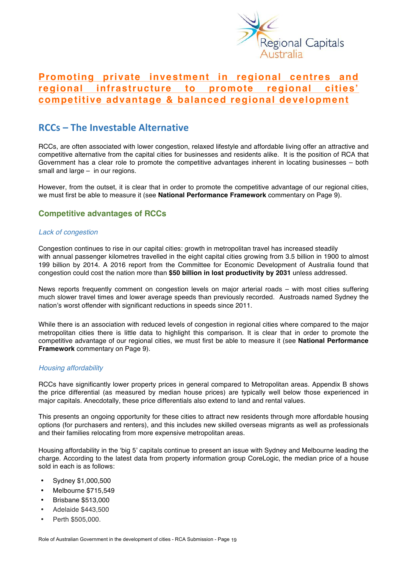

# **Promoting private investment in regional centres and regional infrastructure to promote regional cities' competitive advantage & balanced regional development**

## **RCCs – The Investable Alternative**

RCCs, are often associated with lower congestion, relaxed lifestyle and affordable living offer an attractive and competitive alternative from the capital cities for businesses and residents alike. It is the position of RCA that Government has a clear role to promote the competitive advantages inherent in locating businesses – both small and large – in our regions.

However, from the outset, it is clear that in order to promote the competitive advantage of our regional cities, we must first be able to measure it (see **National Performance Framework** commentary on Page 9).

## **Competitive advantages of RCCs**

## *Lack of congestion*

Congestion continues to rise in our capital cities: growth in metropolitan travel has increased steadily with annual passenger kilometres travelled in the eight capital cities growing from 3.5 billion in 1900 to almost 199 billion by 2014. A 2016 report from the Committee for Economic Development of Australia found that congestion could cost the nation more than **\$50 billion in lost productivity by 2031** unless addressed.

News reports frequently comment on congestion levels on major arterial roads – with most cities suffering much slower travel times and lower average speeds than previously recorded. Austroads named Sydney the nation's worst offender with significant reductions in speeds since 2011.

While there is an association with reduced levels of congestion in regional cities where compared to the major metropolitan cities there is little data to highlight this comparison. It is clear that in order to promote the competitive advantage of our regional cities, we must first be able to measure it (see **National Performance Framework** commentary on Page 9).

## *Housing affordability*

RCCs have significantly lower property prices in general compared to Metropolitan areas. Appendix B shows the price differential (as measured by median house prices) are typically well below those experienced in major capitals. Anecdotally, these price differentials also extend to land and rental values.

This presents an ongoing opportunity for these cities to attract new residents through more affordable housing options (for purchasers and renters), and this includes new skilled overseas migrants as well as professionals and their families relocating from more expensive metropolitan areas.

Housing affordability in the 'big 5' capitals continue to present an issue with Sydney and Melbourne leading the charge. According to the latest data from property information group CoreLogic, the median price of a house sold in each is as follows:

- Sydney \$1,000,500
- Melbourne \$715,549
- Brisbane \$513,000
- Adelaide \$443,500
- Perth \$505,000.

Role of Australian Government in the development of cities - RCA Submission - Page 19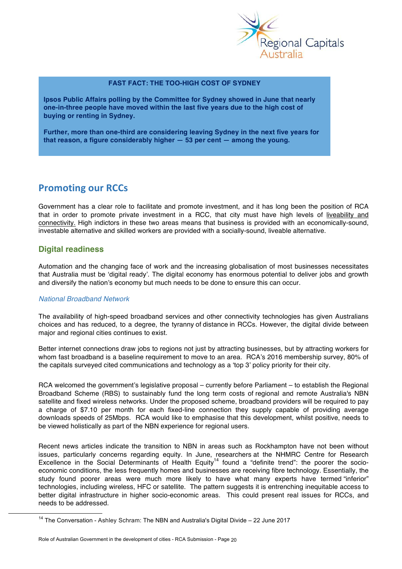

#### **FAST FACT: THE TOO-HIGH COST OF SYDNEY**

**Ipsos Public Affairs polling by the Committee for Sydney showed in June that nearly one-in-three people have moved within the last five years due to the high cost of buying or renting in Sydney.** 

**Further, more than one-third are considering leaving Sydney in the next five years for that reason, a figure considerably higher — 53 per cent — among the young.**

## **Promoting our RCCs**

Government has a clear role to facilitate and promote investment, and it has long been the position of RCA that in order to promote private investment in a RCC, that city must have high levels of liveability and connectivity. High indictors in these two areas means that business is provided with an economically-sound, investable alternative and skilled workers are provided with a socially-sound, liveable alternative.

## **Digital readiness**

Automation and the changing face of work and the increasing globalisation of most businesses necessitates that Australia must be 'digital ready'. The digital economy has enormous potential to deliver jobs and growth and diversify the nation's economy but much needs to be done to ensure this can occur.

## *National Broadband Network*

The availability of high-speed broadband services and other connectivity technologies has given Australians choices and has reduced, to a degree, the tyranny of distance in RCCs. However, the digital divide between major and regional cities continues to exist.

Better internet connections draw jobs to regions not just by attracting businesses, but by attracting workers for whom fast broadband is a baseline requirement to move to an area. RCA's 2016 membership survey, 80% of the capitals surveyed cited communications and technology as a 'top 3' policy priority for their city.

RCA welcomed the government's legislative proposal – currently before Parliament – to establish the Regional Broadband Scheme (RBS) to sustainably fund the long term costs of regional and remote Australia's NBN satellite and fixed wireless networks. Under the proposed scheme, broadband providers will be required to pay a charge of \$7.10 per month for each fixed-line connection they supply capable of providing average downloads speeds of 25Mbps. RCA would like to emphasise that this development, whilst positive, needs to be viewed holistically as part of the NBN experience for regional users.

Recent news articles indicate the transition to NBN in areas such as Rockhampton have not been without issues, particularly concerns regarding equity. In June, researchers at the NHMRC Centre for Research Excellence in the Social Determinants of Health Equity<sup>14</sup> found a "definite trend": the poorer the socioeconomic conditions, the less frequently homes and businesses are receiving fibre technology. Essentially, the study found poorer areas were much more likely to have what many experts have termed "inferior" technologies, including wireless, HFC or satellite. The pattern suggests it is entrenching inequitable access to better digital infrastructure in higher socio-economic areas. This could present real issues for RCCs, and needs to be addressed.

 $14$  The Conversation - Ashley Schram: The NBN and Australia's Digital Divide - 22 June 2017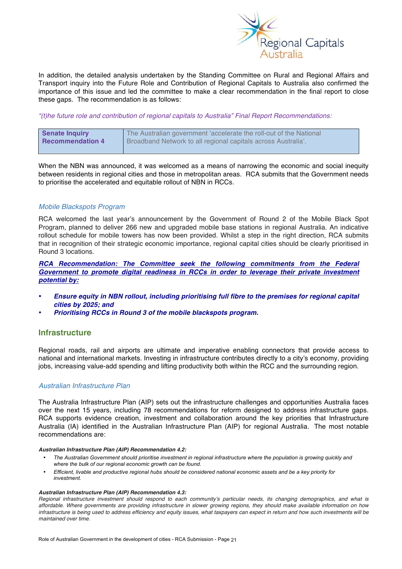

In addition, the detailed analysis undertaken by the Standing Committee on Rural and Regional Affairs and Transport inquiry into the Future Role and Contribution of Regional Capitals to Australia also confirmed the importance of this issue and led the committee to make a clear recommendation in the final report to close these gaps. The recommendation is as follows:

*"(t)he future role and contribution of regional capitals to Australia" Final Report Recommendations:*

| Senate Inquiry          | The Australian government 'accelerate the roll-out of the National |
|-------------------------|--------------------------------------------------------------------|
| <b>Recommendation 4</b> | Broadband Network to all regional capitals across Australia'.      |

When the NBN was announced, it was welcomed as a means of narrowing the economic and social inequity between residents in regional cities and those in metropolitan areas. RCA submits that the Government needs to prioritise the accelerated and equitable rollout of NBN in RCCs.

## *Mobile Blackspots Program*

RCA welcomed the last year's announcement by the Government of Round 2 of the Mobile Black Spot Program, planned to deliver 266 new and upgraded mobile base stations in regional Australia. An indicative rollout schedule for mobile towers has now been provided. Whilst a step in the right direction, RCA submits that in recognition of their strategic economic importance, regional capital cities should be clearly prioritised in Round 3 locations.

*RCA Recommendation: The Committee seek the following commitments from the Federal Government to promote digital readiness in RCCs in order to leverage their private investment potential by:*

- *Ensure equity in NBN rollout, including prioritising full fibre to the premises for regional capital cities by 2025; and*
- *Prioritising RCCs in Round 3 of the mobile blackspots program.*

## **Infrastructure**

Regional roads, rail and airports are ultimate and imperative enabling connectors that provide access to national and international markets. Investing in infrastructure contributes directly to a city's economy, providing jobs, increasing value-add spending and lifting productivity both within the RCC and the surrounding region.

## *Australian Infrastructure Plan*

The Australia Infrastructure Plan (AIP) sets out the infrastructure challenges and opportunities Australia faces over the next 15 years, including 78 recommendations for reform designed to address infrastructure gaps. RCA supports evidence creation, investment and collaboration around the key priorities that Infrastructure Australia (IA) identified in the Australian Infrastructure Plan (AIP) for regional Australia. The most notable recommendations are:

#### *Australian Infrastructure Plan (AIP) Recommendation 4.2:*

- *The Australian Government should prioritise investment in regional infrastructure where the population is growing quickly and where the bulk of our regional economic growth can be found.*
- *Efficient, livable and productive regional hubs should be considered national economic assets and be a key priority for investment.*

#### *Australian Infrastructure Plan (AIP) Recommendation 4.3:*

*Regional infrastructure investment should respond to each community's particular needs, its changing demographics, and what is affordable. Where governments are providing infrastructure in slower growing regions, they should make available information on how*  infrastructure is being used to address efficiency and equity issues, what taxpayers can expect in return and how such investments will be *maintained over time.*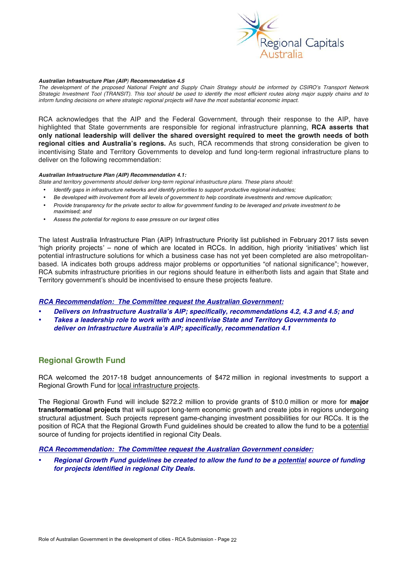

#### *Australian Infrastructure Plan (AIP) Recommendation 4.5*

*The development of the proposed National Freight and Supply Chain Strategy should be informed by CSIRO's Transport Network Strategic Investment Tool (TRANSIT). This tool should be used to identify the most efficient routes along major supply chains and to inform funding decisions on where strategic regional projects will have the most substantial economic impact.*

RCA acknowledges that the AIP and the Federal Government, through their response to the AIP, have highlighted that State governments are responsible for regional infrastructure planning, **RCA asserts that only national leadership will deliver the shared oversight required to meet the growth needs of both regional cities and Australia's regions.** As such, RCA recommends that strong consideration be given to incentivising State and Territory Governments to develop and fund long-term regional infrastructure plans to deliver on the following recommendation:

#### *Australian Infrastructure Plan (AIP) Recommendation 4.1:*

*State and territory governments should deliver long-term regional infrastructure plans. These plans should:*

- *Identify gaps in infrastructure networks and identify priorities to support productive regional industries;*
- *Be developed with involvement from all levels of government to help coordinate investments and remove duplication;*
- *Provide transparency for the private sector to allow for government funding to be leveraged and private investment to be maximised; and*
- *Assess the potential for regions to ease pressure on our largest cities*

The latest Australia Infrastructure Plan (AIP) Infrastructure Priority list published in February 2017 lists seven 'high priority projects' – none of which are located in RCCs. In addition, high priority 'initiatives' which list potential infrastructure solutions for which a business case has not yet been completed are also metropolitanbased. IA indicates both groups address major problems or opportunities "of national significance"; however, RCA submits infrastructure priorities in our regions should feature in either/both lists and again that State and Territory government's should be incentivised to ensure these projects feature.

#### *RCA Recommendation: The Committee request the Australian Government:*

- *Delivers on Infrastructure Australia's AIP; specifically, recommendations 4.2, 4.3 and 4.5; and*
- *Takes a leadership role to work with and incentivise State and Territory Governments to deliver on Infrastructure Australia's AIP; specifically, recommendation 4.1*

## **Regional Growth Fund**

RCA welcomed the 2017-18 budget announcements of \$472 million in regional investments to support a Regional Growth Fund for local infrastructure projects.

The Regional Growth Fund will include \$272.2 million to provide grants of \$10.0 million or more for **major transformational projects** that will support long-term economic growth and create jobs in regions undergoing structural adjustment. Such projects represent game-changing investment possibilities for our RCCs. It is the position of RCA that the Regional Growth Fund guidelines should be created to allow the fund to be a potential source of funding for projects identified in regional City Deals.

#### *RCA Recommendation: The Committee request the Australian Government consider:*

• *Regional Growth Fund guidelines be created to allow the fund to be a potential source of funding for projects identified in regional City Deals.*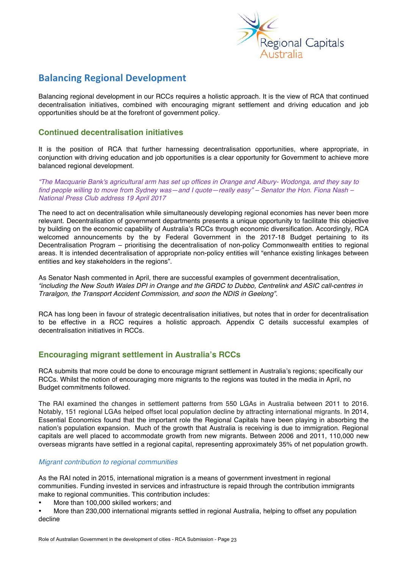

# **Balancing Regional Development**

Balancing regional development in our RCCs requires a holistic approach. It is the view of RCA that continued decentralisation initiatives, combined with encouraging migrant settlement and driving education and job opportunities should be at the forefront of government policy.

## **Continued decentralisation initiatives**

It is the position of RCA that further harnessing decentralisation opportunities, where appropriate, in conjunction with driving education and job opportunities is a clear opportunity for Government to achieve more balanced regional development.

*"The Macquarie Bank's agricultural arm has set up offices in Orange and Albury- Wodonga, and they say to find people willing to move from Sydney was—and I quote—really easy" – Senator the Hon. Fiona Nash – National Press Club address 19 April 2017*

The need to act on decentralisation while simultaneously developing regional economies has never been more relevant. Decentralisation of government departments presents a unique opportunity to facilitate this objective by building on the economic capability of Australia's RCCs through economic diversification. Accordingly, RCA welcomed announcements by the by Federal Government in the 2017-18 Budget pertaining to its Decentralisation Program – prioritising the decentralisation of non-policy Commonwealth entities to regional areas. It is intended decentralisation of appropriate non-policy entities will "enhance existing linkages between entities and key stakeholders in the regions".

As Senator Nash commented in April, there are successful examples of government decentralisation, *"including the New South Wales DPI in Orange and the GRDC to Dubbo, Centrelink and ASIC call-centres in Traralgon, the Transport Accident Commission, and soon the NDIS in Geelong".*

RCA has long been in favour of strategic decentralisation initiatives, but notes that in order for decentralisation to be effective in a RCC requires a holistic approach. Appendix C details successful examples of decentralisation initiatives in RCCs.

## **Encouraging migrant settlement in Australia's RCCs**

RCA submits that more could be done to encourage migrant settlement in Australia's regions; specifically our RCCs. Whilst the notion of encouraging more migrants to the regions was touted in the media in April, no Budget commitments followed.

The RAI examined the changes in settlement patterns from 550 LGAs in Australia between 2011 to 2016. Notably, 151 regional LGAs helped offset local population decline by attracting international migrants. In 2014, Essential Economics found that the important role the Regional Capitals have been playing in absorbing the nation's population expansion. Much of the growth that Australia is receiving is due to immigration. Regional capitals are well placed to accommodate growth from new migrants. Between 2006 and 2011, 110,000 new overseas migrants have settled in a regional capital, representing approximately 35% of net population growth.

## *Migrant contribution to regional communities*

As the RAI noted in 2015, international migration is a means of government investment in regional communities. Funding invested in services and infrastructure is repaid through the contribution immigrants make to regional communities. This contribution includes:

More than 100,000 skilled workers; and

• More than 230,000 international migrants settled in regional Australia, helping to offset any population decline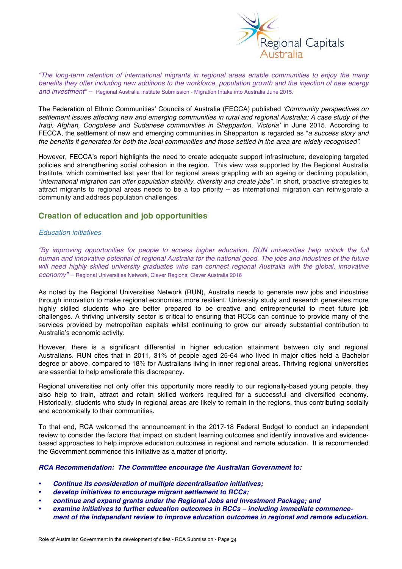

*"The long-term retention of international migrants in regional areas enable communities to enjoy the many benefits they offer including new additions to the workforce, population growth and the injection of new energy and investment" –* Regional Australia Institute Submission - Migration Intake into Australia June 2015.

The Federation of Ethnic Communities' Councils of Australia (FECCA) published *'Community perspectives on settlement issues affecting new and emerging communities in rural and regional Australia: A case study of the Iraqi, Afghan, Congolese and Sudanese communities in Shepparton, Victoria'* in June 2015. According to FECCA, the settlement of new and emerging communities in Shepparton is regarded as "*a success story and the benefits it generated for both the local communities and those settled in the area are widely recognised".* 

However, FECCA's report highlights the need to create adequate support infrastructure, developing targeted policies and strengthening social cohesion in the region. This view was supported by the Regional Australia Institute, which commented last year that for regional areas grappling with an ageing or declining population*, "international migration can offer population stability, diversity and create jobs"*. In short, proactive strategies to attract migrants to regional areas needs to be a top priority – as international migration can reinvigorate a community and address population challenges.

## **Creation of education and job opportunities**

#### *Education initiatives*

*"By improving opportunities for people to access higher education, RUN universities help unlock the full human and innovative potential of regional Australia for the national good. The jobs and industries of the future* will need highly skilled university graduates who can connect regional Australia with the global, innovative *economy" –* Regional Universities Network, Clever Regions, Clever Australia 2016

As noted by the Regional Universities Network (RUN), Australia needs to generate new jobs and industries through innovation to make regional economies more resilient. University study and research generates more highly skilled students who are better prepared to be creative and entrepreneurial to meet future job challenges. A thriving university sector is critical to ensuring that RCCs can continue to provide many of the services provided by metropolitan capitals whilst continuing to grow our already substantial contribution to Australia's economic activity.

However, there is a significant differential in higher education attainment between city and regional Australians. RUN cites that in 2011, 31% of people aged 25-64 who lived in major cities held a Bachelor degree or above, compared to 18% for Australians living in inner regional areas. Thriving regional universities are essential to help ameliorate this discrepancy.

Regional universities not only offer this opportunity more readily to our regionally-based young people, they also help to train, attract and retain skilled workers required for a successful and diversified economy. Historically, students who study in regional areas are likely to remain in the regions, thus contributing socially and economically to their communities.

To that end, RCA welcomed the announcement in the 2017-18 Federal Budget to conduct an independent review to consider the factors that impact on student learning outcomes and identify innovative and evidencebased approaches to help improve education outcomes in regional and remote education. It is recommended the Government commence this initiative as a matter of priority.

*RCA Recommendation: The Committee encourage the Australian Government to:* 

- *Continue its consideration of multiple decentralisation initiatives;*
- *develop initiatives to encourage migrant settlement to RCCs;*
- *continue and expand grants under the Regional Jobs and Investment Package; and*
- *examine initiatives to further education outcomes in RCCs – including immediate commencement of the independent review to improve education outcomes in regional and remote education.*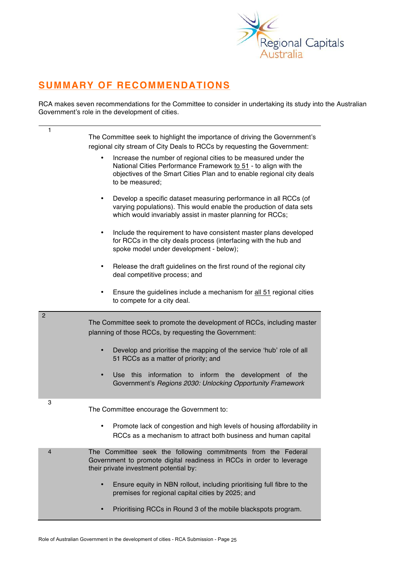

# **SUMMARY OF RECOMMENDATIONS**

RCA makes seven recommendations for the Committee to consider in undertaking its study into the Australian Government's role in the development of cities.

| 1              | The Committee seek to highlight the importance of driving the Government's<br>regional city stream of City Deals to RCCs by requesting the Government:                                                                                      |
|----------------|---------------------------------------------------------------------------------------------------------------------------------------------------------------------------------------------------------------------------------------------|
|                | Increase the number of regional cities to be measured under the<br>$\bullet$<br>National Cities Performance Framework to 51 - to align with the<br>objectives of the Smart Cities Plan and to enable regional city deals<br>to be measured; |
|                | Develop a specific dataset measuring performance in all RCCs (of<br>٠<br>varying populations). This would enable the production of data sets<br>which would invariably assist in master planning for RCCs;                                  |
|                | Include the requirement to have consistent master plans developed<br>$\bullet$<br>for RCCs in the city deals process (interfacing with the hub and<br>spoke model under development - below);                                               |
|                | Release the draft guidelines on the first round of the regional city<br>$\bullet$<br>deal competitive process; and                                                                                                                          |
|                | Ensure the guidelines include a mechanism for all 51 regional cities<br>٠<br>to compete for a city deal.                                                                                                                                    |
| $\overline{c}$ | The Committee seek to promote the development of RCCs, including master<br>planning of those RCCs, by requesting the Government:                                                                                                            |
|                | Develop and prioritise the mapping of the service 'hub' role of all<br>$\bullet$<br>51 RCCs as a matter of priority; and                                                                                                                    |
|                | information to inform the<br>Use this<br>development of the<br>$\bullet$<br>Government's Regions 2030: Unlocking Opportunity Framework                                                                                                      |
| 3              | The Committee encourage the Government to:                                                                                                                                                                                                  |
|                | Promote lack of congestion and high levels of housing affordability in<br>RCCs as a mechanism to attract both business and human capital                                                                                                    |
| $\overline{4}$ | The Committee seek the following commitments from the Federal<br>Government to promote digital readiness in RCCs in order to leverage<br>their private investment potential by:                                                             |
|                | Ensure equity in NBN rollout, including prioritising full fibre to the<br>premises for regional capital cities by 2025; and                                                                                                                 |
|                | Prioritising RCCs in Round 3 of the mobile blackspots program.                                                                                                                                                                              |
|                |                                                                                                                                                                                                                                             |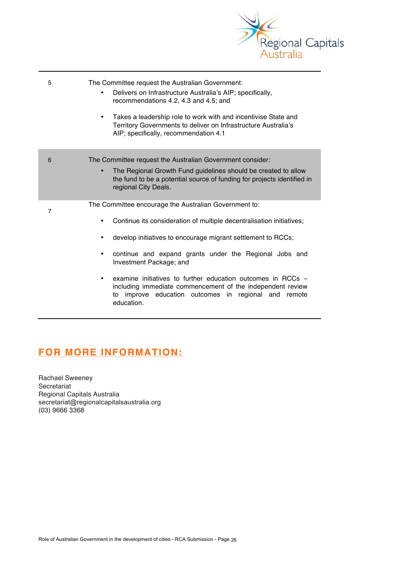

| 5              | The Committee request the Australian Government:<br>Delivers on Infrastructure Australia's AIP; specifically,<br>$\bullet$<br>recommendations 4.2, 4.3 and 4.5; and<br>Takes a leadership role to work with and incentivise State and<br>$\bullet$<br>Territory Governments to deliver on Infrastructure Australia's<br>AIP; specifically, recommendation 4.1                                                                                                                                                        |
|----------------|----------------------------------------------------------------------------------------------------------------------------------------------------------------------------------------------------------------------------------------------------------------------------------------------------------------------------------------------------------------------------------------------------------------------------------------------------------------------------------------------------------------------|
| 6              | The Committee request the Australian Government consider:<br>The Regional Growth Fund guidelines should be created to allow<br>$\bullet$<br>the fund to be a potential source of funding for projects identified in<br>regional City Deals.                                                                                                                                                                                                                                                                          |
| $\overline{7}$ | The Committee encourage the Australian Government to:<br>Continue its consideration of multiple decentralisation initiatives;<br>٠<br>develop initiatives to encourage migrant settlement to RCCs;<br>٠<br>continue and expand grants under the Regional Jobs and<br>$\bullet$<br>Investment Package; and<br>examine initiatives to further education outcomes in RCCs -<br>٠<br>including immediate commencement of the independent review<br>improve education outcomes in regional and remote<br>to<br>education. |

# **FOR MORE INFORMATION:**

Rachael Sweeney Secretariat Regional Capitals Australia secretariat@regionalcapitalsaustralia.org (03) 9666 3368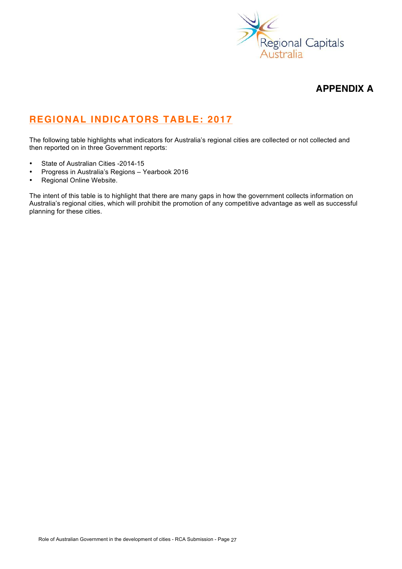

## **APPENDIX A**

# **REGIONAL INDICATORS TABLE: 2017**

The following table highlights what indicators for Australia's regional cities are collected or not collected and then reported on in three Government reports:

- State of Australian Cities -2014-15
- Progress in Australia's Regions Yearbook 2016
- Regional Online Website.

The intent of this table is to highlight that there are many gaps in how the government collects information on Australia's regional cities, which will prohibit the promotion of any competitive advantage as well as successful planning for these cities.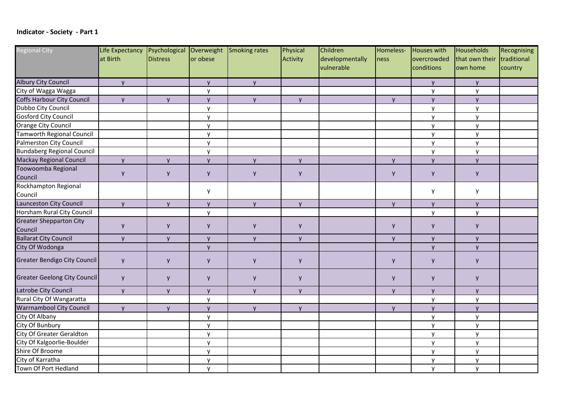## **Indicator** - Society - Part 1

| <b>Regional City</b>              | Life Expectancy |          |              | Psychological Overweight Smoking rates | Physical        | Children        | Homeless-    | Houses with  | Households     | Recognising |
|-----------------------------------|-----------------|----------|--------------|----------------------------------------|-----------------|-----------------|--------------|--------------|----------------|-------------|
|                                   | at Birth        | Distress | or obese     |                                        | <b>Activity</b> | developmentally | ness         | overcrowded  | that own their | traditional |
|                                   |                 |          |              |                                        |                 | vulnerable      |              | conditions   | own home       | country     |
| <b>Albury City Council</b>        | y               |          | y            | y                                      |                 |                 |              | <b>V</b>     | y              |             |
| City of Wagga Wagga               |                 |          | y            |                                        |                 |                 |              | y            | y              |             |
| Coffs Harbour City Council        | y               | y        | $\mathsf{y}$ | y                                      | <b>V</b>        |                 | $\mathsf{V}$ | <b>y</b>     | y              |             |
| Dubbo City Council                |                 |          | y            |                                        |                 |                 |              | y            | y              |             |
| <b>Gosford City Council</b>       |                 |          | y            |                                        |                 |                 |              | y            | y              |             |
| <b>Orange City Council</b>        |                 |          | y            |                                        |                 |                 |              | y            | y              |             |
| Tamworth Regional Council         |                 |          | y            |                                        |                 |                 |              | y            | y              |             |
| <b>Palmerston City Council</b>    |                 |          | y            |                                        |                 |                 |              | y            | y              |             |
| <b>Bundaberg Regional Council</b> |                 |          | y            |                                        |                 |                 |              | y            | y              |             |
| <b>Mackay Regional Council</b>    | y               | y        | y            | y                                      | $\mathsf{V}$    |                 | y            | <b>V</b>     | y              |             |
| Toowoomba Regional                |                 |          |              |                                        |                 |                 |              |              |                |             |
| Council                           | y               | y        | y            | y                                      | y               |                 | y            | y            | y              |             |
| Rockhampton Regional              |                 |          |              |                                        |                 |                 |              |              |                |             |
| Council                           |                 |          | y            |                                        |                 |                 |              | y            | y              |             |
| Launceston City Council           | y               | <b>y</b> | $\mathsf{y}$ | <b>y</b>                               | $\mathsf{V}$    |                 | $\mathsf{y}$ | $\mathsf{V}$ | y              |             |
| Horsham Rural City Council        |                 |          | y            |                                        |                 |                 |              | y            | y              |             |
| <b>Greater Shepparton City</b>    |                 |          |              |                                        |                 |                 |              |              |                |             |
| Council                           | y               | y        | y            | y                                      | y               |                 | y            | y            | y              |             |
| <b>Ballarat City Council</b>      | y               | y        | y            | y                                      | <b>V</b>        |                 | y            | y.           | y              |             |
| City Of Wodonga                   |                 |          | y            |                                        |                 |                 |              | $\mathsf{V}$ | y              |             |
| Greater Bendigo City Council      | y               | y        | y            | y                                      | y               |                 | y            | y            | y              |             |
| Greater Geelong City Council      | y               | y        | y            | y                                      | y               |                 | y            | y            | y              |             |
| Latrobe City Council              | y               | y        | y            | y                                      | $\mathsf{V}$    |                 | y            | y            | y              |             |
| Rural City Of Wangaratta          |                 |          | y            |                                        |                 |                 |              | y            | y              |             |
| <b>Warrnambool City Council</b>   | y               | <b>V</b> | $\mathsf{v}$ | $\mathsf{V}$                           | $\mathsf{V}$    |                 | $\mathsf{V}$ | $\mathsf{V}$ | $\mathsf{v}$   |             |
| City Of Albany                    |                 |          | y            |                                        |                 |                 |              | v            | y              |             |
| City Of Bunbury                   |                 |          | y            |                                        |                 |                 |              | <b>V</b>     | y              |             |
| <b>City Of Greater Geraldton</b>  |                 |          | y            |                                        |                 |                 |              | y            | y              |             |
| City Of Kalgoorlie-Boulder        |                 |          | y            |                                        |                 |                 |              | v            | $\mathsf{v}$   |             |
| Shire Of Broome                   |                 |          | $\mathsf{y}$ |                                        |                 |                 |              | y            | y              |             |
| City of Karratha                  |                 |          | y            |                                        |                 |                 |              | <b>V</b>     | y              |             |
| Town Of Port Hedland              |                 |          | $\mathsf{y}$ |                                        |                 |                 |              | y            | y              |             |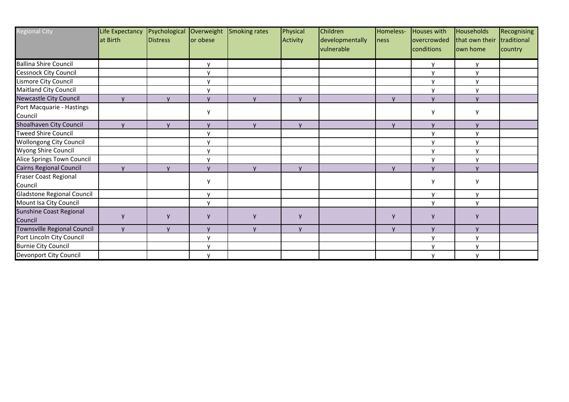| <b>Regional City</b>                    | Life Expectancy<br>at Birth | Psychological<br><b>IDistress</b> | Overweight<br>or obese | Smoking rates  | Physical<br>Activity | Children<br>developmentally<br>vulnerable | Homeless-<br>ness | Houses with<br>overcrowded<br>conditions | Households<br>that own their<br>lown home | Recognising<br>traditional<br>country |
|-----------------------------------------|-----------------------------|-----------------------------------|------------------------|----------------|----------------------|-------------------------------------------|-------------------|------------------------------------------|-------------------------------------------|---------------------------------------|
| <b>Ballina Shire Council</b>            |                             |                                   | y                      |                |                      |                                           |                   | y                                        | у                                         |                                       |
| <b>Cessnock City Council</b>            |                             |                                   | $\mathsf{v}$           |                |                      |                                           |                   | $\mathsf{V}$                             | y                                         |                                       |
| Lismore City Council                    |                             |                                   | $\mathsf{v}$           |                |                      |                                           |                   | $\mathsf{v}$                             | y                                         |                                       |
| <b>Maitland City Council</b>            |                             |                                   | $\mathsf{v}$           |                |                      |                                           |                   | $\mathsf{v}$                             | V                                         |                                       |
| <b>Newcastle City Council</b>           | $\mathbf{v}$                | $\mathbf{v}$                      | $\mathbf{V}$           | $\overline{V}$ | $\mathbf{v}$         |                                           | $\mathsf{v}$      |                                          | $\mathsf{v}$                              |                                       |
| Port Macquarie - Hastings<br>Council    |                             |                                   | y                      |                |                      |                                           |                   | V                                        | у                                         |                                       |
| Shoalhaven City Council                 | $\mathsf{v}$                | $\mathsf{v}$                      | $\mathbf{v}$           | $\mathsf{V}$   | $\mathsf{v}$         |                                           | $\mathsf{V}$      | $\mathbf{v}$                             | <b>V</b>                                  |                                       |
| <b>Tweed Shire Council</b>              |                             |                                   | $\mathsf{v}$           |                |                      |                                           |                   | $\mathsf{v}$                             | У                                         |                                       |
| <b>Wollongong City Council</b>          |                             |                                   | $\mathsf{v}$           |                |                      |                                           |                   | $\mathsf{v}$                             | у                                         |                                       |
| Wyong Shire Council                     |                             |                                   | $\mathsf{v}$           |                |                      |                                           |                   | $\mathsf{v}$                             | y                                         |                                       |
| Alice Springs Town Council              |                             |                                   | $\mathsf{v}$           |                |                      |                                           |                   | $\mathbf{v}$                             | y                                         |                                       |
| Cairns Regional Council                 | $\mathbf{v}$                | $\mathbf{v}$                      | $\mathbf{v}$           | $\mathsf{V}$   |                      |                                           | $\mathsf{V}$      |                                          | $\mathsf{v}$                              |                                       |
| <b>Fraser Coast Regional</b><br>Council |                             |                                   | y                      |                |                      |                                           |                   | <b>V</b>                                 | у                                         |                                       |
| Gladstone Regional Council              |                             |                                   | $\mathsf{v}$           |                |                      |                                           |                   | $\mathsf{v}$                             | y                                         |                                       |
| Mount Isa City Council                  |                             |                                   | $\mathsf{v}$           |                |                      |                                           |                   | $\mathsf{v}$                             | y                                         |                                       |
| Sunshine Coast Regional<br>Council      |                             | $\mathbf v$                       | $\mathsf{V}$           |                | $\mathsf{V}$         |                                           | y                 | $\mathbf v$                              |                                           |                                       |
| <b>Townsville Regional Council</b>      | $\mathbf{v}$                | $\mathbf{v}$                      | $\mathbf{V}$           | $\mathsf{v}$   | $\mathbf{v}$         |                                           | $\mathsf{V}$      | $\mathbf{V}$                             | $\mathsf{V}$                              |                                       |
| Port Lincoln City Council               |                             |                                   | $\mathbf{v}$           |                |                      |                                           |                   | $\mathsf{v}$                             | V                                         |                                       |
| <b>Burnie City Council</b>              |                             |                                   | $\mathbf{V}$           |                |                      |                                           |                   | $\mathsf{v}$                             | У                                         |                                       |
| Devonport City Council                  |                             |                                   | $\mathsf{v}$           |                |                      |                                           |                   | $\mathsf{v}$                             | v                                         |                                       |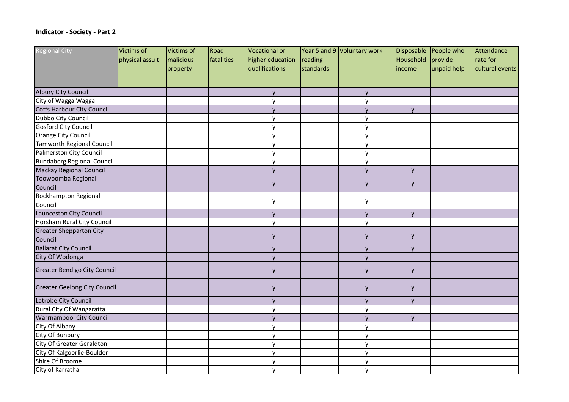## **Indicator - Society - Part 2**

| <b>Regional City</b>                | Victims of      | Victims of | Road       | Vocational or    |           | Year 5 and 9 Voluntary work |              | Disposable People who | Attendance      |
|-------------------------------------|-----------------|------------|------------|------------------|-----------|-----------------------------|--------------|-----------------------|-----------------|
|                                     | physical assult | malicious  | fatalities | higher education | reading   |                             | Household    | provide               | rate for        |
|                                     |                 | property   |            | qualifications   | standards |                             | lincome      | unpaid help           | cultural events |
|                                     |                 |            |            |                  |           |                             |              |                       |                 |
| <b>Albury City Council</b>          |                 |            |            | y                |           | y                           |              |                       |                 |
| City of Wagga Wagga                 |                 |            |            | y                |           | y                           |              |                       |                 |
| <b>Coffs Harbour City Council</b>   |                 |            |            | y                |           | <b>y</b>                    | y            |                       |                 |
| Dubbo City Council                  |                 |            |            | y                |           | y                           |              |                       |                 |
| <b>Gosford City Council</b>         |                 |            |            | y                |           | y                           |              |                       |                 |
| Orange City Council                 |                 |            |            | y                |           | y                           |              |                       |                 |
| <b>Tamworth Regional Council</b>    |                 |            |            | y                |           | y                           |              |                       |                 |
| Palmerston City Council             |                 |            |            | y                |           | y                           |              |                       |                 |
| <b>Bundaberg Regional Council</b>   |                 |            |            | y                |           | y                           |              |                       |                 |
| <b>Mackay Regional Council</b>      |                 |            |            | y                |           | y                           | y            |                       |                 |
| Toowoomba Regional                  |                 |            |            |                  |           |                             |              |                       |                 |
| Council                             |                 |            |            | y                |           | y                           | y            |                       |                 |
| Rockhampton Regional                |                 |            |            |                  |           |                             |              |                       |                 |
| Council                             |                 |            |            | у                |           | y                           |              |                       |                 |
| Launceston City Council             |                 |            |            | y                |           | y                           | y            |                       |                 |
| Horsham Rural City Council          |                 |            |            | y                |           | y                           |              |                       |                 |
| <b>Greater Shepparton City</b>      |                 |            |            |                  |           |                             |              |                       |                 |
| Council                             |                 |            |            | y                |           | y                           | y            |                       |                 |
| <b>Ballarat City Council</b>        |                 |            |            | y                |           | y                           | y            |                       |                 |
| City Of Wodonga                     |                 |            |            | y                |           | y                           |              |                       |                 |
| <b>Greater Bendigo City Council</b> |                 |            |            | y                |           | y                           | y            |                       |                 |
| Greater Geelong City Council        |                 |            |            | y                |           | y                           | y            |                       |                 |
| Latrobe City Council                |                 |            |            | <b>y</b>         |           | <b>V</b>                    | $\mathsf{V}$ |                       |                 |
| Rural City Of Wangaratta            |                 |            |            | y                |           | y                           |              |                       |                 |
| <b>Warrnambool City Council</b>     |                 |            |            | <b>y</b>         |           | <b>y</b>                    | $\mathsf{V}$ |                       |                 |
| City Of Albany                      |                 |            |            | y                |           | y                           |              |                       |                 |
| City Of Bunbury                     |                 |            |            | y                |           | y                           |              |                       |                 |
| City Of Greater Geraldton           |                 |            |            | y                |           | y                           |              |                       |                 |
| City Of Kalgoorlie-Boulder          |                 |            |            | y                |           | y                           |              |                       |                 |
| Shire Of Broome                     |                 |            |            | y                |           | y                           |              |                       |                 |
| City of Karratha                    |                 |            |            | y                |           | y                           |              |                       |                 |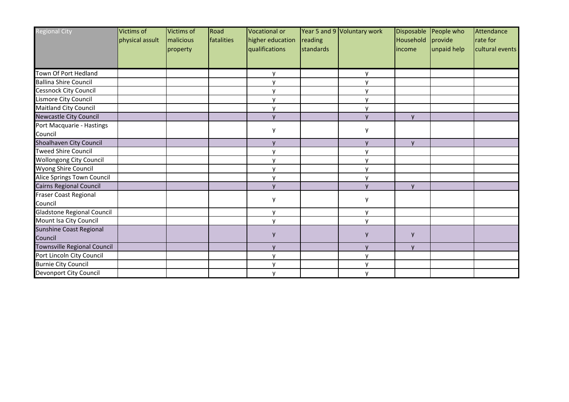| <b>Regional City</b>                 | Victims of<br>physical assult | Victims of<br>malicious | Road<br><i>fatalities</i> | <b>Vocational or</b><br>higher education | reading   | Year 5 and 9 Voluntary work | Household    | Disposable People who<br>provide | Attendance<br>rate for |
|--------------------------------------|-------------------------------|-------------------------|---------------------------|------------------------------------------|-----------|-----------------------------|--------------|----------------------------------|------------------------|
|                                      |                               | property                |                           | qualifications                           | standards |                             | income       | unpaid help                      | cultural events        |
| Town Of Port Hedland                 |                               |                         |                           | у                                        |           | v                           |              |                                  |                        |
| <b>Ballina Shire Council</b>         |                               |                         |                           | y                                        |           | $\mathsf{v}$                |              |                                  |                        |
| <b>Cessnock City Council</b>         |                               |                         |                           | v                                        |           |                             |              |                                  |                        |
| Lismore City Council                 |                               |                         |                           | v                                        |           | v                           |              |                                  |                        |
| Maitland City Council                |                               |                         |                           | $\mathsf{v}$                             |           | v                           |              |                                  |                        |
| Newcastle City Council               |                               |                         |                           | $\mathbf{v}$                             |           | $\mathbf{v}$                | $\mathsf{V}$ |                                  |                        |
| Port Macquarie - Hastings<br>Council |                               |                         |                           | У                                        |           | v                           |              |                                  |                        |
| Shoalhaven City Council              |                               |                         |                           | $\mathsf{V}$                             |           | $\mathsf{V}$                | $\mathsf{V}$ |                                  |                        |
| <b>Tweed Shire Council</b>           |                               |                         |                           | v                                        |           |                             |              |                                  |                        |
| <b>Wollongong City Council</b>       |                               |                         |                           | y                                        |           | v                           |              |                                  |                        |
| Wyong Shire Council                  |                               |                         |                           | y                                        |           | v                           |              |                                  |                        |
| Alice Springs Town Council           |                               |                         |                           | y                                        |           | v                           |              |                                  |                        |
| Cairns Regional Council              |                               |                         |                           | V                                        |           | $\mathsf{V}$                | $\mathsf{V}$ |                                  |                        |
| Fraser Coast Regional<br>Council     |                               |                         |                           | у                                        |           | у                           |              |                                  |                        |
| Gladstone Regional Council           |                               |                         |                           | v                                        |           | v                           |              |                                  |                        |
| Mount Isa City Council               |                               |                         |                           | y                                        |           | y                           |              |                                  |                        |
| Sunshine Coast Regional<br>Council   |                               |                         |                           | у                                        |           | y                           | y            |                                  |                        |
| Townsville Regional Council          |                               |                         |                           | $\mathsf{V}$                             |           | $\mathsf{v}$                | $\mathsf{v}$ |                                  |                        |
| Port Lincoln City Council            |                               |                         |                           | v                                        |           |                             |              |                                  |                        |
| <b>Burnie City Council</b>           |                               |                         |                           | v                                        |           | v                           |              |                                  |                        |
| <b>Devonport City Council</b>        |                               |                         |                           | y                                        |           | y                           |              |                                  |                        |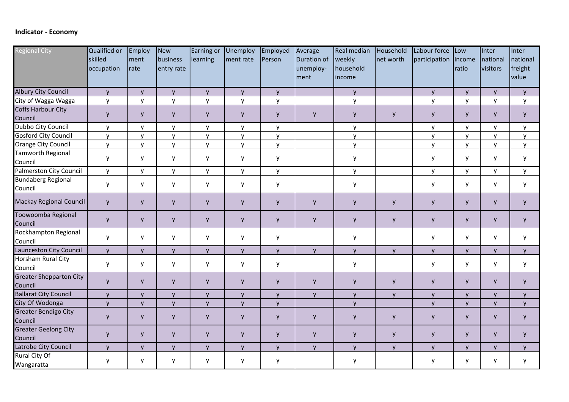## **Indicator - Economy**

| <b>Regional City</b>                      | Qualified or<br>skilled<br>occupation | Employ-<br>ment<br>rate | New<br>business<br>entry rate | Earning or<br>learning | Unemploy-<br>ment rate | Employed<br>Person | Average<br>Duration of<br>unemploy-<br> ment | Real median<br>weekly<br>household<br>lincome | Household<br>net worth | Labour force<br>participation | Low-<br> income<br>ratio | Inter-<br>national<br>visitors | Inter-<br>national<br>freight<br>value |
|-------------------------------------------|---------------------------------------|-------------------------|-------------------------------|------------------------|------------------------|--------------------|----------------------------------------------|-----------------------------------------------|------------------------|-------------------------------|--------------------------|--------------------------------|----------------------------------------|
| <b>Albury City Council</b>                | $\mathsf{V}$                          | y                       | $\mathsf{V}$                  | y                      | y                      | y                  |                                              | y                                             |                        | y                             | $\mathsf{V}$             | $\mathsf{V}$                   | $\mathsf{V}$                           |
| City of Wagga Wagga                       | $\mathsf{v}$                          | y                       | y                             | $\mathsf{y}$           | $\mathsf{y}$           | $\mathsf{y}$       |                                              | y                                             |                        | $\mathsf{y}$                  | y                        | y                              | y                                      |
| Coffs Harbour City<br>Council             | y                                     | y                       | y                             | y                      | y                      | y                  | $\mathsf{y}$                                 | y                                             | y                      | y                             | y                        | y                              | y                                      |
| Dubbo City Council                        | y                                     | y                       | y                             | y                      | y                      | y                  |                                              | y                                             |                        | y                             | y                        | y                              | y                                      |
| Gosford City Council                      | $\mathsf{v}$                          | y                       | y                             | y                      | y                      | y                  |                                              | y                                             |                        | $\mathsf{v}$                  | y                        | y                              | $\mathsf{v}$                           |
| Orange City Council                       | $\mathsf{V}$                          | y                       | $\mathsf{y}$                  | $\mathsf{y}$           | y                      | y                  |                                              | y                                             |                        | $\mathsf{y}$                  | y                        | $\mathsf{y}$                   | y                                      |
| <b>Tamworth Regional</b><br>Council       | y                                     | y                       | y                             | y                      | y                      | y                  |                                              | y                                             |                        | y                             | y                        | y                              | y                                      |
| Palmerston City Council                   | y                                     | y                       | y                             | y                      | y                      | y                  |                                              | $\mathsf{y}$                                  |                        | y                             | y                        | y                              | y                                      |
| <b>Bundaberg Regional</b><br>Council      | y                                     | y                       | y                             | y                      | y                      | y                  |                                              | y                                             |                        | y                             | y                        | y                              | y                                      |
| <b>Mackay Regional Council</b>            | y                                     | у                       | y                             | y                      | y                      | y                  | y                                            | y                                             | y                      | y                             | y                        | y                              | y                                      |
| Toowoomba Regional<br>Council             | y                                     | y                       | y                             | y                      | y                      | y                  | y                                            | y                                             | y                      | y                             | y                        | y                              | y                                      |
| Rockhampton Regional<br>Council           | y                                     | y                       | y                             | y                      | y                      | y                  |                                              | y                                             |                        | y                             | y                        | y                              | y                                      |
| Launceston City Council                   | y                                     | y                       | y                             | y                      | y                      | y                  | y                                            | y                                             | y                      | y                             | y                        | y                              | y                                      |
| Horsham Rural City<br>Council             | y                                     | y                       | y                             | y                      | y                      | y                  |                                              | y                                             |                        | y                             | y                        | y                              | y                                      |
| <b>Greater Shepparton City</b><br>Council | y                                     | y                       | y                             | y                      | y                      | y                  | y                                            | y                                             | y                      | y                             | y                        | y                              | y                                      |
| <b>Ballarat City Council</b>              | $\mathsf{V}$                          | y                       | y                             | y                      | y                      | y                  | y                                            | y                                             | <b>y</b>               | y                             | y                        | $\mathsf{V}$                   | $\mathsf{v}$                           |
| City Of Wodonga                           | y                                     | y                       | y                             | y                      | y                      | y                  |                                              | y                                             |                        | y                             | y                        | y                              | $\mathsf{v}$                           |
| <b>Greater Bendigo City</b><br>Council    | y                                     | y                       | y                             | y                      | y                      | y                  | y                                            | $\mathsf{y}$                                  | y                      | y                             | y                        | y                              | y                                      |
| <b>Greater Geelong City</b><br>Council    | y                                     | y                       | y                             | y                      | y                      | y                  | y                                            | y                                             | y                      | y                             | y                        | y                              | y                                      |
| Latrobe City Council                      | $\mathsf{V}$                          | <b>y</b>                | $\mathsf{v}$                  | $\mathsf{v}$           | y                      | $\mathsf{y}$       | $\mathsf{V}$                                 | y                                             | <b>y</b>               | $\mathsf{v}$                  | $\mathsf{V}$             | $\mathsf{V}$                   | $\mathsf{V}$                           |
| Rural City Of<br>Wangaratta               | y                                     | y                       | y                             | y                      | y                      | y                  |                                              | y                                             |                        | y                             | y                        | y                              | y                                      |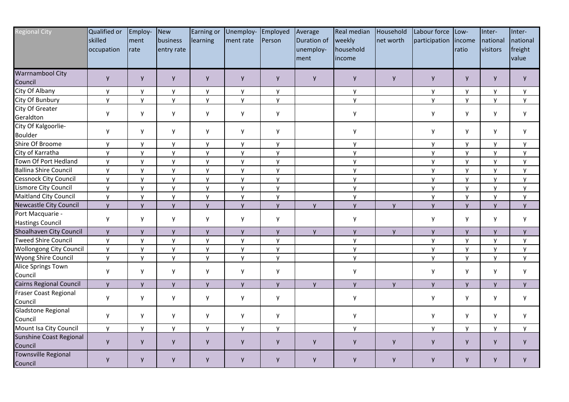| <b>Regional City</b>                                      | <b>Qualified or</b><br>skilled<br>occupation | Employ-<br>ment<br>rate | New<br>business<br>entry rate | Earning or<br>learning | Unemploy- Employed<br>ment rate | Person       | Average<br>Duration of<br>unemploy-<br>ment | Real median<br>weekly<br>household<br>income | Household<br>net worth | Labour force<br>participation | Low-<br>lincome<br>ratio | Inter-<br>national<br>visitors | Inter-<br>national<br>freight<br>value |
|-----------------------------------------------------------|----------------------------------------------|-------------------------|-------------------------------|------------------------|---------------------------------|--------------|---------------------------------------------|----------------------------------------------|------------------------|-------------------------------|--------------------------|--------------------------------|----------------------------------------|
| <b>Warrnambool City</b><br>Council                        | y                                            | y                       | y                             | y                      | y                               | y            | y                                           | y                                            | y                      | y                             | y                        | y                              | y                                      |
| City Of Albany                                            | y                                            | y                       | y                             | y                      | y                               | y            |                                             | y                                            |                        | y                             | y                        | y                              | y                                      |
| City Of Bunbury                                           | y                                            | y                       | y                             | y                      | y                               | y            |                                             | $\mathsf{y}$                                 |                        | $\mathsf{v}$                  | y                        | y                              | y                                      |
| <b>City Of Greater</b>                                    | y                                            | y                       | y                             | y                      | y                               | у            |                                             | y                                            |                        | y                             | y                        | y                              | y                                      |
| Geraldton<br>City Of Kalgoorlie-<br><b>Boulder</b>        | y                                            | y                       | y                             | y                      | y                               | y            |                                             | y                                            |                        | y                             | y                        | y                              | y                                      |
| Shire Of Broome                                           | y                                            | y                       | y                             | y                      | y                               | y            |                                             | y                                            |                        | y                             | y                        | y                              | y                                      |
| City of Karratha                                          | $\mathsf{y}$                                 | y                       | $\mathsf{y}$                  | $\mathsf{y}$           | y                               | y            |                                             | $\mathsf{y}$                                 |                        | $\mathsf{y}$                  | y                        | $\mathsf{y}$                   | y                                      |
| Town Of Port Hedland                                      | y                                            | y                       | $\mathsf{y}$                  | y                      | y                               | y            |                                             | $\mathsf{y}$                                 |                        | y                             | y                        | y                              | y                                      |
| <b>Ballina Shire Council</b>                              | y                                            | y                       | y                             | y                      | y                               | y            |                                             | $\mathsf{y}$                                 |                        | y                             | y                        | y                              | y                                      |
| Cessnock City Council                                     | y                                            | y                       | y                             | y                      | y                               | y            |                                             | y                                            |                        | y                             | y                        | y                              | y                                      |
| Lismore City Council                                      | <b>y</b>                                     | y                       | y                             | y                      | y                               | y            |                                             | y                                            |                        | $\mathsf{v}$                  | y                        | y                              | y                                      |
| <b>Maitland City Council</b>                              | y                                            | y                       | y                             | y                      | y                               | y            |                                             | y                                            |                        | y                             | y                        | y                              | y                                      |
| <b>Newcastle City Council</b>                             | y                                            | y                       | y                             | y                      | y                               | y            | y                                           | y                                            | <b>y</b>               | $\mathsf{y}$                  | y                        | y                              | y                                      |
| Port Macquarie -<br><b>Hastings Council</b>               | y                                            | у                       | y                             | y                      | y                               | у            |                                             | y                                            |                        | y                             | y                        | y                              | y                                      |
| Shoalhaven City Council                                   | y                                            | y                       | y                             | y                      | y                               | y            | $\mathsf{y}$                                | y                                            | y                      | y                             | $\mathsf{y}$             | y                              | y                                      |
| <b>Tweed Shire Council</b>                                | y                                            | y                       | $\mathsf{v}$                  | y                      | y                               | $\mathsf{v}$ |                                             | y                                            |                        | $\mathsf{v}$                  | y                        | y                              | y                                      |
| Wollongong City Council                                   | $\mathsf{y}$                                 | y                       | y                             | y                      | y                               | y            |                                             | y                                            |                        | $\mathsf{y}$                  | y                        | y                              | y                                      |
| Wyong Shire Council                                       | $\mathsf{v}$                                 | y                       | $\mathsf{y}$                  | $\mathsf{y}$           | y                               | $\mathsf{y}$ |                                             | $\mathsf{y}$                                 |                        | $\mathsf{y}$                  | $\mathsf{y}$             | y                              | y                                      |
| Alice Springs Town<br>Council                             | y                                            | y                       | y                             | y                      | y                               | y            |                                             | y                                            |                        | y                             | y                        | y                              | y                                      |
| Cairns Regional Council                                   | y                                            | y                       | y                             | y                      | y                               | y            | y                                           | $\mathsf{y}$                                 | <b>y</b>               | $\mathsf{y}$                  | y                        | y                              | y                                      |
| Fraser Coast Regional<br>Council                          | y                                            | y                       | y                             | y                      | y                               | y            |                                             | y                                            |                        | y                             | y                        | y                              | y                                      |
| Gladstone Regional<br>Council                             | y                                            | у                       | y                             | у                      | у                               | y            |                                             | y                                            |                        | y                             | y                        | y                              | y                                      |
| Mount Isa City Council                                    | y                                            | y                       | y                             | y                      | y                               | у            |                                             | y                                            |                        | y                             | y                        | y                              | y                                      |
| Sunshine Coast Regional<br>Council<br>Townsville Regional | y                                            | y                       | y                             | y                      | y                               | y            | y                                           | y                                            | у                      | y                             | y                        | y                              | y                                      |
| Council                                                   | y                                            | y                       | y                             | y                      | y                               | y            | y                                           | y                                            | y                      | y                             | y                        | y                              | y                                      |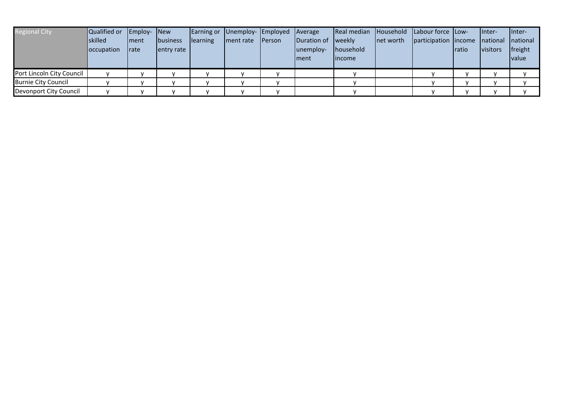| <b>Regional City</b>      | Qualified or<br>lskilled<br><b>loccupation</b> | Employ- New<br><b>Iment</b><br><b>rate</b> | <b>Ibusiness</b><br>lentry rate | learning | Earning or Unemploy- Employed<br>ment rate Person | <b>Average</b><br>Duration of weekly<br>lunemploy-<br>Iment | Real median Household<br>household<br>lincome | Inet worth | Labour force Low-<br>participation lincome national national | ratio | linter-<br><i>visitors</i> | linter-<br> freight<br><i>value</i> |
|---------------------------|------------------------------------------------|--------------------------------------------|---------------------------------|----------|---------------------------------------------------|-------------------------------------------------------------|-----------------------------------------------|------------|--------------------------------------------------------------|-------|----------------------------|-------------------------------------|
| Port Lincoln City Council |                                                |                                            |                                 |          |                                                   |                                                             |                                               |            |                                                              |       |                            |                                     |
| Burnie City Council       |                                                |                                            |                                 |          |                                                   |                                                             |                                               |            |                                                              |       |                            |                                     |
| Devonport City Council    |                                                |                                            |                                 |          |                                                   |                                                             |                                               |            |                                                              |       |                            |                                     |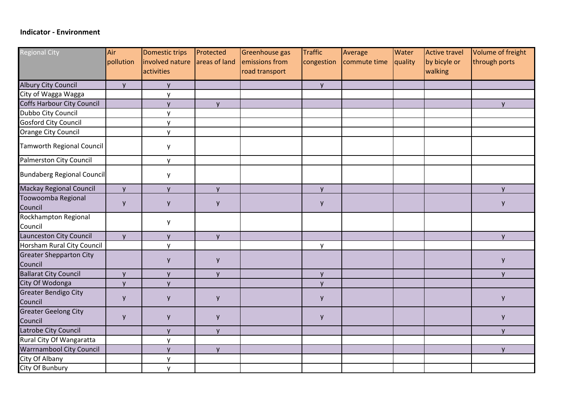## **Indicator - Environment**

| <b>Regional City</b>                      | Air       | Domestic trips  | Protected     | Greenhouse gas | <b>Traffic</b> | Average      | Water   | Active travel | Volume of freight |
|-------------------------------------------|-----------|-----------------|---------------|----------------|----------------|--------------|---------|---------------|-------------------|
|                                           | pollution | involved nature | areas of land | emissions from | congestion     | commute time | quality | by bicyle or  | through ports     |
|                                           |           | activities      |               | road transport |                |              |         | walking       |                   |
| <b>Albury City Council</b>                | <b>y</b>  | y               |               |                | y              |              |         |               |                   |
| City of Wagga Wagga                       |           | $\mathsf{V}$    |               |                |                |              |         |               |                   |
| Coffs Harbour City Council                |           | $\mathsf{V}$    | $\mathsf{V}$  |                |                |              |         |               | $\mathsf{V}$      |
| Dubbo City Council                        |           | y               |               |                |                |              |         |               |                   |
| <b>Gosford City Council</b>               |           | y               |               |                |                |              |         |               |                   |
| Orange City Council                       |           | y               |               |                |                |              |         |               |                   |
| Tamworth Regional Council                 |           | y               |               |                |                |              |         |               |                   |
| Palmerston City Council                   |           | y               |               |                |                |              |         |               |                   |
| <b>Bundaberg Regional Council</b>         |           | y               |               |                |                |              |         |               |                   |
| <b>Mackay Regional Council</b>            | <b>y</b>  | <b>y</b>        | y             |                | y              |              |         |               | <b>y</b>          |
| Toowoomba Regional<br>Council             | y         | y               | y             |                | y              |              |         |               | y                 |
| Rockhampton Regional<br>Council           |           | у               |               |                |                |              |         |               |                   |
| Launceston City Council                   | <b>y</b>  | y               | y             |                |                |              |         |               | y                 |
| Horsham Rural City Council                |           | y               |               |                | y              |              |         |               |                   |
| <b>Greater Shepparton City</b><br>Council |           | y               | y             |                |                |              |         |               | y                 |
| <b>Ballarat City Council</b>              | <b>V</b>  | $\mathsf{V}$    | $\mathsf{V}$  |                | y              |              |         |               | $\mathsf{V}$      |
| City Of Wodonga                           | y         | <b>y</b>        |               |                | y              |              |         |               |                   |
| <b>Greater Bendigo City</b><br>Council    | y         | y               | y             |                | y              |              |         |               | y                 |
| <b>Greater Geelong City</b><br>Council    | y         | y               | y             |                | y              |              |         |               | y                 |
| Latrobe City Council                      |           | $\mathsf{V}$    | $\mathsf{V}$  |                |                |              |         |               | $\mathsf{V}$      |
| Rural City Of Wangaratta                  |           | y               |               |                |                |              |         |               |                   |
| Warrnambool City Council                  |           | y               | y             |                |                |              |         |               | y                 |
| City Of Albany                            |           | y               |               |                |                |              |         |               |                   |
| City Of Bunbury                           |           | y               |               |                |                |              |         |               |                   |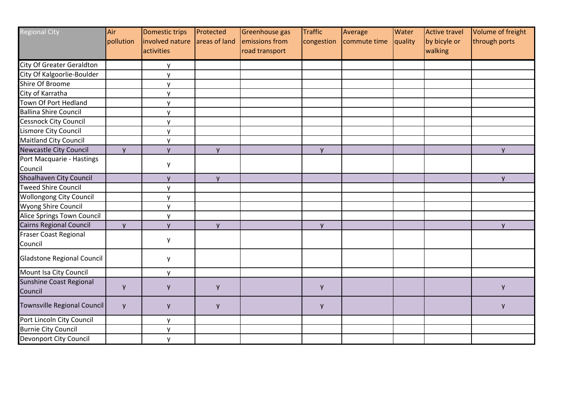| <b>Regional City</b>               | Air          | Domestic trips  | Protected     | Greenhouse gas | <b>Traffic</b> | Average      | Water   | Active travel | Volume of freight |
|------------------------------------|--------------|-----------------|---------------|----------------|----------------|--------------|---------|---------------|-------------------|
|                                    | pollution    | involved nature | areas of land | emissions from | congestion     | commute time | quality | by bicyle or  | through ports     |
|                                    |              | activities      |               | road transport |                |              |         | walking       |                   |
| <b>City Of Greater Geraldton</b>   |              | y               |               |                |                |              |         |               |                   |
| City Of Kalgoorlie-Boulder         |              | y               |               |                |                |              |         |               |                   |
| Shire Of Broome                    |              | v               |               |                |                |              |         |               |                   |
| City of Karratha                   |              | v               |               |                |                |              |         |               |                   |
| Town Of Port Hedland               |              | $\mathsf{v}$    |               |                |                |              |         |               |                   |
| <b>Ballina Shire Council</b>       |              | y               |               |                |                |              |         |               |                   |
| <b>Cessnock City Council</b>       |              | y               |               |                |                |              |         |               |                   |
| Lismore City Council               |              | v               |               |                |                |              |         |               |                   |
| <b>Maitland City Council</b>       |              | $\mathsf{v}$    |               |                |                |              |         |               |                   |
| Newcastle City Council             | $\mathsf{V}$ | v               | y             |                | y              |              |         |               | y                 |
| Port Macquarie - Hastings          |              |                 |               |                |                |              |         |               |                   |
| Council                            |              | y               |               |                |                |              |         |               |                   |
| Shoalhaven City Council            |              | $\mathsf{V}$    | $\mathsf{V}$  |                |                |              |         |               | $\mathsf{V}$      |
| <b>Tweed Shire Council</b>         |              | v               |               |                |                |              |         |               |                   |
| <b>Wollongong City Council</b>     |              | <b>y</b>        |               |                |                |              |         |               |                   |
| Wyong Shire Council                |              | $\mathsf{V}$    |               |                |                |              |         |               |                   |
| Alice Springs Town Council         |              | v               |               |                |                |              |         |               |                   |
| Cairns Regional Council            | $\mathsf{V}$ | $\mathsf{V}$    | $\mathsf{V}$  |                | y              |              |         |               | $\mathsf{V}$      |
| <b>Fraser Coast Regional</b>       |              |                 |               |                |                |              |         |               |                   |
| Council                            |              | y               |               |                |                |              |         |               |                   |
| <b>Gladstone Regional Council</b>  |              | y               |               |                |                |              |         |               |                   |
| Mount Isa City Council             |              | y               |               |                |                |              |         |               |                   |
| Sunshine Coast Regional<br>Council | y            | y               | y             |                | y              |              |         |               | y                 |
| Townsville Regional Council        | y            | y               | y             |                | y              |              |         |               | y                 |
| Port Lincoln City Council          |              | y               |               |                |                |              |         |               |                   |
| <b>Burnie City Council</b>         |              | y               |               |                |                |              |         |               |                   |
| <b>Devonport City Council</b>      |              | v               |               |                |                |              |         |               |                   |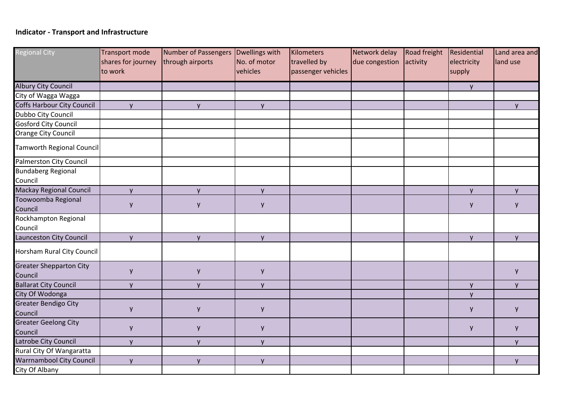## **Indicator - Transport and Infrastructure**

| <b>Regional City</b>                      | <b>Transport mode</b><br>shares for journey | Number of Passengers<br>through airports | Dwellings with<br>No. of motor | Kilometers<br>travelled by | Network delay<br>due congestion | <b>Road freight</b><br>activity | Residential<br>electricity | Land area and<br>land use |
|-------------------------------------------|---------------------------------------------|------------------------------------------|--------------------------------|----------------------------|---------------------------------|---------------------------------|----------------------------|---------------------------|
|                                           | to work                                     |                                          | vehicles                       | passenger vehicles         |                                 |                                 | supply                     |                           |
| <b>Albury City Council</b>                |                                             |                                          |                                |                            |                                 |                                 | y.                         |                           |
| City of Wagga Wagga                       |                                             |                                          |                                |                            |                                 |                                 |                            |                           |
| Coffs Harbour City Council                | y                                           | y                                        | <b>y</b>                       |                            |                                 |                                 |                            | y                         |
| Dubbo City Council                        |                                             |                                          |                                |                            |                                 |                                 |                            |                           |
| <b>Gosford City Council</b>               |                                             |                                          |                                |                            |                                 |                                 |                            |                           |
| Orange City Council                       |                                             |                                          |                                |                            |                                 |                                 |                            |                           |
| Tamworth Regional Council                 |                                             |                                          |                                |                            |                                 |                                 |                            |                           |
| <b>Palmerston City Council</b>            |                                             |                                          |                                |                            |                                 |                                 |                            |                           |
| <b>Bundaberg Regional</b><br>Council      |                                             |                                          |                                |                            |                                 |                                 |                            |                           |
| <b>Mackay Regional Council</b>            | y                                           | <b>y</b>                                 | <b>y</b>                       |                            |                                 |                                 | <b>y</b>                   | y                         |
| Toowoomba Regional<br>Council             | y                                           | y                                        | y                              |                            |                                 |                                 | y                          | y                         |
| Rockhampton Regional                      |                                             |                                          |                                |                            |                                 |                                 |                            |                           |
| Council                                   |                                             |                                          |                                |                            |                                 |                                 |                            |                           |
| Launceston City Council                   | y                                           | y                                        | y                              |                            |                                 |                                 | <b>y</b>                   | y                         |
| Horsham Rural City Council                |                                             |                                          |                                |                            |                                 |                                 |                            |                           |
| <b>Greater Shepparton City</b><br>Council | y                                           | y                                        | y                              |                            |                                 |                                 |                            | y                         |
| <b>Ballarat City Council</b>              | y                                           | y                                        | <b>y</b>                       |                            |                                 |                                 | y                          | y                         |
| City Of Wodonga                           |                                             |                                          |                                |                            |                                 |                                 | y                          |                           |
| <b>Greater Bendigo City</b><br>Council    | y                                           | y                                        | y                              |                            |                                 |                                 | y                          | y                         |
| <b>Greater Geelong City</b><br>Council    | y                                           | У                                        | y                              |                            |                                 |                                 | y                          | y                         |
| Latrobe City Council                      | y                                           | y                                        | y                              |                            |                                 |                                 |                            | y                         |
| Rural City Of Wangaratta                  |                                             |                                          |                                |                            |                                 |                                 |                            |                           |
| <b>Warrnambool City Council</b>           | y                                           | y                                        | y                              |                            |                                 |                                 |                            | $\mathsf{y}$              |
| City Of Albany                            |                                             |                                          |                                |                            |                                 |                                 |                            |                           |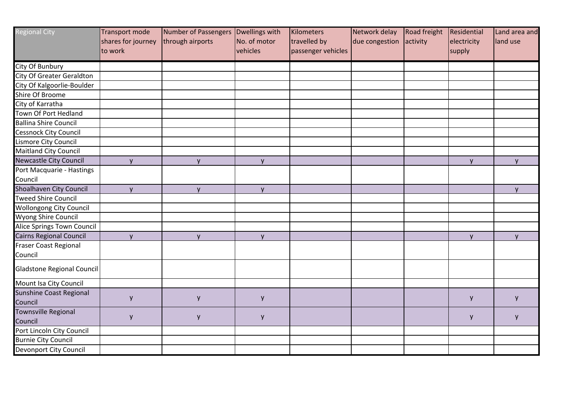| <b>Regional City</b>              | Transport mode     | Number of Passengers | Dwellings with | Kilometers         | Network delay  | Road freight | Residential | Land area and |
|-----------------------------------|--------------------|----------------------|----------------|--------------------|----------------|--------------|-------------|---------------|
|                                   | shares for journey | through airports     | No. of motor   | travelled by       | due congestion | activity     | electricity | land use      |
|                                   | to work            |                      | vehicles       | passenger vehicles |                |              | supply      |               |
| City Of Bunbury                   |                    |                      |                |                    |                |              |             |               |
| <b>City Of Greater Geraldton</b>  |                    |                      |                |                    |                |              |             |               |
| City Of Kalgoorlie-Boulder        |                    |                      |                |                    |                |              |             |               |
| Shire Of Broome                   |                    |                      |                |                    |                |              |             |               |
| City of Karratha                  |                    |                      |                |                    |                |              |             |               |
| Town Of Port Hedland              |                    |                      |                |                    |                |              |             |               |
| <b>Ballina Shire Council</b>      |                    |                      |                |                    |                |              |             |               |
| Cessnock City Council             |                    |                      |                |                    |                |              |             |               |
| Lismore City Council              |                    |                      |                |                    |                |              |             |               |
| Maitland City Council             |                    |                      |                |                    |                |              |             |               |
| <b>Newcastle City Council</b>     | $\mathsf{V}$       | $\mathsf{V}$         | $\mathsf{V}$   |                    |                |              | <b>y</b>    | $\mathsf{y}$  |
| Port Macquarie - Hastings         |                    |                      |                |                    |                |              |             |               |
| Council                           |                    |                      |                |                    |                |              |             |               |
| Shoalhaven City Council           | y                  | y                    | y              |                    |                |              |             | y             |
| <b>Tweed Shire Council</b>        |                    |                      |                |                    |                |              |             |               |
| <b>Wollongong City Council</b>    |                    |                      |                |                    |                |              |             |               |
| Wyong Shire Council               |                    |                      |                |                    |                |              |             |               |
| Alice Springs Town Council        |                    |                      |                |                    |                |              |             |               |
| <b>Cairns Regional Council</b>    | $\mathsf{V}$       | $\mathsf{V}$         | $\mathsf{V}$   |                    |                |              | <b>V</b>    | y             |
| Fraser Coast Regional             |                    |                      |                |                    |                |              |             |               |
| Council                           |                    |                      |                |                    |                |              |             |               |
| <b>Gladstone Regional Council</b> |                    |                      |                |                    |                |              |             |               |
| Mount Isa City Council            |                    |                      |                |                    |                |              |             |               |
| Sunshine Coast Regional           |                    |                      |                |                    |                |              |             |               |
| Council                           | y                  | y                    | y              |                    |                |              | y           | y             |
| Townsville Regional               |                    |                      |                |                    |                |              |             |               |
| Council                           | y                  | у                    | y              |                    |                |              | y           | y             |
| Port Lincoln City Council         |                    |                      |                |                    |                |              |             |               |
| <b>Burnie City Council</b>        |                    |                      |                |                    |                |              |             |               |
| Devonport City Council            |                    |                      |                |                    |                |              |             |               |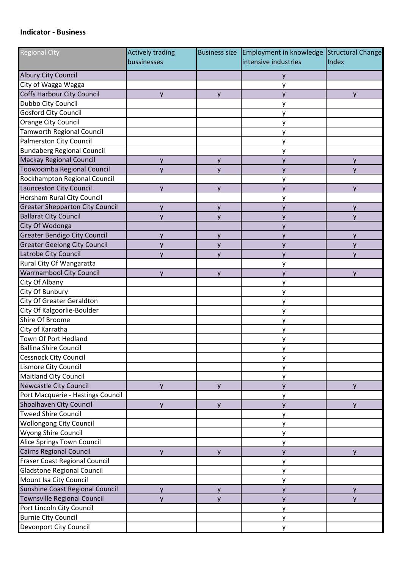## **Indicator - Business**

| <b>Regional City</b>                   | <b>Actively trading</b> | <b>Business size</b> | Employment in knowledge Structural Change |       |
|----------------------------------------|-------------------------|----------------------|-------------------------------------------|-------|
|                                        | bussinesses             |                      | intensive industries                      | Index |
| <b>Albury City Council</b>             |                         |                      | y                                         |       |
| City of Wagga Wagga                    |                         |                      | у                                         |       |
| <b>Coffs Harbour City Council</b>      | y                       | y                    | y                                         | y     |
| Dubbo City Council                     |                         |                      | у                                         |       |
| <b>Gosford City Council</b>            |                         |                      | у                                         |       |
| Orange City Council                    |                         |                      | у                                         |       |
| <b>Tamworth Regional Council</b>       |                         |                      | у                                         |       |
| <b>Palmerston City Council</b>         |                         |                      | у                                         |       |
| <b>Bundaberg Regional Council</b>      |                         |                      | у                                         |       |
| <b>Mackay Regional Council</b>         | y                       | y                    | у                                         | V     |
| Toowoomba Regional Council             | y                       | y                    | у                                         | y     |
| Rockhampton Regional Council           |                         |                      | у                                         |       |
| Launceston City Council                | $\mathsf{V}$            | V                    | y                                         | v     |
| Horsham Rural City Council             |                         |                      | у                                         |       |
| <b>Greater Shepparton City Council</b> | y                       | у                    | y                                         | y     |
| <b>Ballarat City Council</b>           | $\mathsf{V}$            | y                    | y                                         | V     |
| City Of Wodonga                        |                         |                      | y                                         |       |
| <b>Greater Bendigo City Council</b>    | y                       | у                    | у                                         | y     |
| <b>Greater Geelong City Council</b>    | y                       | y                    | y                                         | V     |
| Latrobe City Council                   | $\mathsf{V}$            | y                    | y                                         | v     |
| Rural City Of Wangaratta               |                         |                      | у                                         |       |
| <b>Warrnambool City Council</b>        | y                       | y                    | y                                         | V     |
| City Of Albany                         |                         |                      | у                                         |       |
| City Of Bunbury                        |                         |                      | у                                         |       |
| City Of Greater Geraldton              |                         |                      | у                                         |       |
| City Of Kalgoorlie-Boulder             |                         |                      | у                                         |       |
| Shire Of Broome                        |                         |                      | у                                         |       |
| City of Karratha                       |                         |                      | у                                         |       |
| Town Of Port Hedland                   |                         |                      | у                                         |       |
| <b>Ballina Shire Council</b>           |                         |                      | у                                         |       |
| <b>Cessnock City Council</b>           |                         |                      | у                                         |       |
| Lismore City Council                   |                         |                      | у                                         |       |
| <b>Maitland City Council</b>           |                         |                      | у                                         |       |
| <b>Newcastle City Council</b>          | y                       | y                    | y                                         | V     |
| Port Macquarie - Hastings Council      |                         |                      | у                                         |       |
| Shoalhaven City Council                | y                       | y                    | y                                         | v     |
| <b>Tweed Shire Council</b>             |                         |                      | у                                         |       |
| <b>Wollongong City Council</b>         |                         |                      | у                                         |       |
| <b>Wyong Shire Council</b>             |                         |                      | у                                         |       |
| <b>Alice Springs Town Council</b>      |                         |                      | у                                         |       |
| <b>Cairns Regional Council</b>         | y                       | $\mathsf{v}$         | y                                         | v     |
| <b>Fraser Coast Regional Council</b>   |                         |                      | у                                         |       |
| <b>Gladstone Regional Council</b>      |                         |                      | у                                         |       |
| Mount Isa City Council                 |                         |                      | у                                         |       |
| Sunshine Coast Regional Council        | y                       | y                    | у                                         | y     |
| <b>Townsville Regional Council</b>     | y                       | y                    | y                                         | v     |
| Port Lincoln City Council              |                         |                      | у                                         |       |
| <b>Burnie City Council</b>             |                         |                      | у                                         |       |
| Devonport City Council                 |                         |                      | у                                         |       |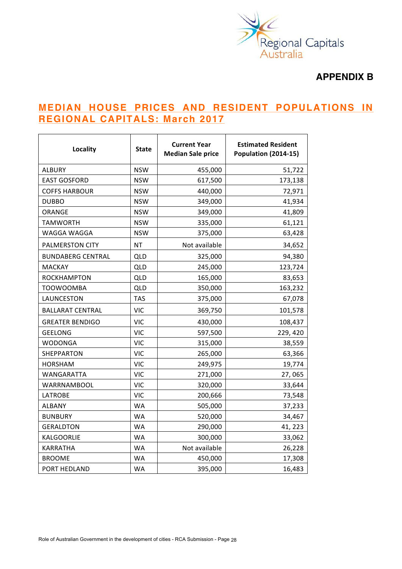

# **APPENDIX B**

# **MEDIAN HOUSE PRICES AND RESIDENT POPULATIONS IN REGIONAL CAPITALS: March 2017**

| Locality                 | <b>State</b> | <b>Current Year</b><br><b>Median Sale price</b> | <b>Estimated Resident</b><br><b>Population (2014-15)</b> |
|--------------------------|--------------|-------------------------------------------------|----------------------------------------------------------|
| <b>ALBURY</b>            | <b>NSW</b>   | 455,000                                         | 51,722                                                   |
| <b>EAST GOSFORD</b>      | <b>NSW</b>   | 617,500                                         | 173,138                                                  |
| <b>COFFS HARBOUR</b>     | <b>NSW</b>   | 440,000                                         | 72,971                                                   |
| <b>DUBBO</b>             | <b>NSW</b>   | 349,000                                         | 41,934                                                   |
| ORANGE                   | <b>NSW</b>   | 349,000                                         | 41,809                                                   |
| <b>TAMWORTH</b>          | <b>NSW</b>   | 335,000                                         | 61,121                                                   |
| WAGGA WAGGA              | <b>NSW</b>   | 375,000                                         | 63,428                                                   |
| PALMERSTON CITY          | <b>NT</b>    | Not available                                   | 34,652                                                   |
| <b>BUNDABERG CENTRAL</b> | QLD          | 325,000                                         | 94,380                                                   |
| <b>MACKAY</b>            | QLD          | 245,000                                         | 123,724                                                  |
| <b>ROCKHAMPTON</b>       | QLD          | 165,000                                         | 83,653                                                   |
| <b>TOOWOOMBA</b>         | <b>QLD</b>   | 350,000                                         | 163,232                                                  |
| LAUNCESTON               | <b>TAS</b>   | 375,000                                         | 67,078                                                   |
| <b>BALLARAT CENTRAL</b>  | <b>VIC</b>   | 369,750                                         | 101,578                                                  |
| <b>GREATER BENDIGO</b>   | <b>VIC</b>   | 430,000                                         | 108,437                                                  |
| <b>GEELONG</b>           | <b>VIC</b>   | 597,500                                         | 229, 420                                                 |
| WODONGA                  | <b>VIC</b>   | 315,000                                         | 38,559                                                   |
| SHEPPARTON               | <b>VIC</b>   | 265,000                                         | 63,366                                                   |
| <b>HORSHAM</b>           | <b>VIC</b>   | 249,975                                         | 19,774                                                   |
| WANGARATTA               | <b>VIC</b>   | 271,000                                         | 27,065                                                   |
| WARRNAMBOOL              | <b>VIC</b>   | 320,000                                         | 33,644                                                   |
| <b>LATROBE</b>           | <b>VIC</b>   | 200,666                                         | 73,548                                                   |
| <b>ALBANY</b>            | <b>WA</b>    | 505,000                                         | 37,233                                                   |
| <b>BUNBURY</b>           | <b>WA</b>    | 520,000                                         | 34,467                                                   |
| <b>GERALDTON</b>         | <b>WA</b>    | 290,000                                         | 41, 223                                                  |
| KALGOORLIE               | <b>WA</b>    | 300,000                                         | 33,062                                                   |
| KARRATHA                 | <b>WA</b>    | Not available                                   | 26,228                                                   |
| <b>BROOME</b>            | <b>WA</b>    | 450,000                                         | 17,308                                                   |
| PORT HEDLAND             | <b>WA</b>    | 395,000                                         | 16,483                                                   |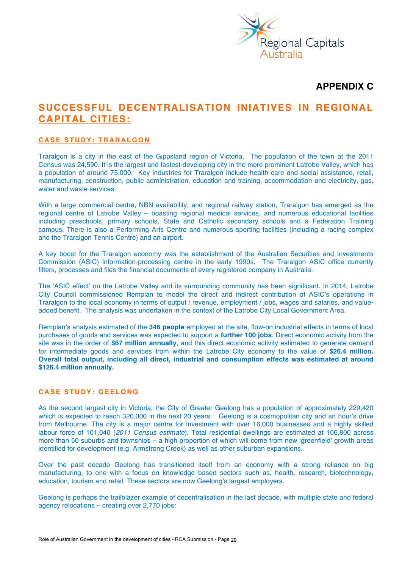

## **APPENDIX C**

# **SUCCESSFUL DECENTRALISATION INIATIVES IN REGIONAL CAPITAL CITIES:**

## **CASE STUDY: TRARALGON**

Traralgon is a city in the east of the Gippsland region of Victoria. The population of the town at the 2011 Census was 24,590. It is the largest and fastest-developing city in the more prominent Latrobe Valley, which has a population of around 75,000. Key industries for Traralgon include health care and social assistance, retail, manufacturing, construction, public administration, education and training, accommodation and electricity, gas, water and waste services.

With a large commercial centre, NBN availability, and regional railway station. Traralgon has emerged as the regional centre of Latrobe Valley – boasting regional medical services, and numerous educational facilities including preschools, primary schools, State and Catholic secondary schools and a Federation Training campus. There is also a Performing Arts Centre and numerous sporting facilities (including a racing complex and the Traralgon Tennis Centre) and an airport.

A key boost for the Traralgon economy was the establishment of the Australian Securities and Investments Commission (ASIC) information-processing centre in the early 1990s. The Traralgon ASIC office currently filters, processes and files the financial documents of every registered company in Australia.

The 'ASIC effect' on the Latrobe Valley and its surrounding community has been significant. In 2014, Latrobe City Council commissioned Remplan to model the direct and indirect contribution of ASIC's operations in Traralgon to the local economy in terms of output / revenue, employment / jobs, wages and salaries, and valueadded benefit. The analysis was undertaken in the context of the Latrobe City Local Government Area.

Remplan's analysis estimated of the **346 people** employed at the site, flow-on industrial effects in terms of local purchases of goods and services was expected to support a **further 100 jobs**. Direct economic activity from the site was in the order of **\$67 million annually**, and this direct economic activity estimated to generate demand for intermediate goods and services from within the Latrobe City economy to the value of **\$26.4 million. Overall total output, including all direct, industrial and consumption effects was estimated at around \$126.4 million annually.**

## **CASE STUDY: GEELONG**

As the second largest city in Victoria, the City of Greater Geelong has a population of approximately 229,420 which is expected to reach 320,000 in the next 20 years. Geelong is a cosmopolitan city and an hour's drive from Melbourne. The city is a major centre for investment with over 16,000 businesses and a highly skilled labour force of 101,040 (*2011 Census estimate*). Total residential dwellings are estimated at 106,800 across more than 50 suburbs and townships – a high proportion of which will come from new 'greenfield' growth areas identified for development (e.g. Armstrong Creek) as well as other suburban expansions.

Over the past decade Geelong has transitioned itself from an economy with a strong reliance on big manufacturing, to one with a focus on knowledge based sectors such as, health, research, biotechnology, education, tourism and retail. These sectors are now Geelong's largest employers.

Geelong is perhaps the trailblazer example of decentralisation in the last decade, with multiple state and federal agency relocations – creating over 2,770 jobs: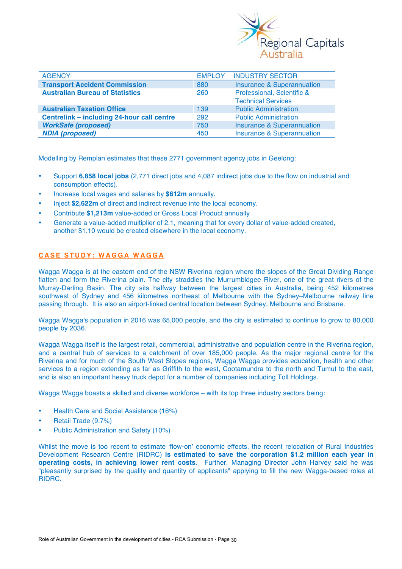

| <b>AGENCY</b>                              | <b>EMPLOY</b> | <b>INDUSTRY SECTOR</b>                                  |
|--------------------------------------------|---------------|---------------------------------------------------------|
| <b>Transport Accident Commission</b>       | 880           | <b>Insurance &amp; Superannuation</b>                   |
| <b>Australian Bureau of Statistics</b>     | 260           | Professional, Scientific &<br><b>Technical Services</b> |
| <b>Australian Taxation Office</b>          | 139           | <b>Public Administration</b>                            |
| Centrelink – including 24-hour call centre | 292           | <b>Public Administration</b>                            |
| <b>WorkSafe (proposed)</b>                 | 750           | <b>Insurance &amp; Superannuation</b>                   |
| <b>NDIA (proposed)</b>                     | 450           | <b>Insurance &amp; Superannuation</b>                   |

Modelling by Remplan estimates that these 2771 government agency jobs in Geelong:

- Support **6,858 local jobs** (2,771 direct jobs and 4,087 indirect jobs due to the flow on industrial and consumption effects).
- Increase local wages and salaries by **\$612m** annually.
- Inject **\$2,622m** of direct and indirect revenue into the local economy.
- Contribute **\$1,213m** value-added or Gross Local Product annually
- Generate a value-added multiplier of 2.1, meaning that for every dollar of value-added created, another \$1.10 would be created elsewhere in the local economy.

## **CASE STUDY: WAGGA WAGGA**

Wagga Wagga is at the eastern end of the NSW Riverina region where the slopes of the Great Dividing Range flatten and form the Riverina plain. The city straddles the Murrumbidgee River, one of the great rivers of the Murray-Darling Basin. The city sits halfway between the largest cities in Australia, being 452 kilometres southwest of Sydney and 456 kilometres northeast of Melbourne with the Sydney–Melbourne railway line passing through. It is also an airport-linked central location between Sydney, Melbourne and Brisbane.

Wagga Wagga's population in 2016 was 65,000 people, and the city is estimated to continue to grow to 80,000 people by 2036.

Wagga Wagga itself is the largest retail, commercial, administrative and population centre in the Riverina region, and a central hub of services to a catchment of over 185,000 people. As the major regional centre for the Riverina and for much of the South West Slopes regions, Wagga Wagga provides education, health and other services to a region extending as far as Griffith to the west, Cootamundra to the north and Tumut to the east, and is also an important heavy truck depot for a number of companies including Toll Holdings.

Wagga Wagga boasts a skilled and diverse workforce – with its top three industry sectors being:

- Health Care and Social Assistance (16%)
- Retail Trade (9.7%)
- Public Administration and Safety (10%)

Whilst the move is too recent to estimate 'flow-on' economic effects, the recent relocation of Rural Industries Development Research Centre (RIDRC) **is estimated to save the corporation \$1.2 million each year in operating costs, in achieving lower rent costs**. Further, Managing Director John Harvey said he was "pleasantly surprised by the quality and quantity of applicants" applying to fill the new Wagga-based roles at RIDRC.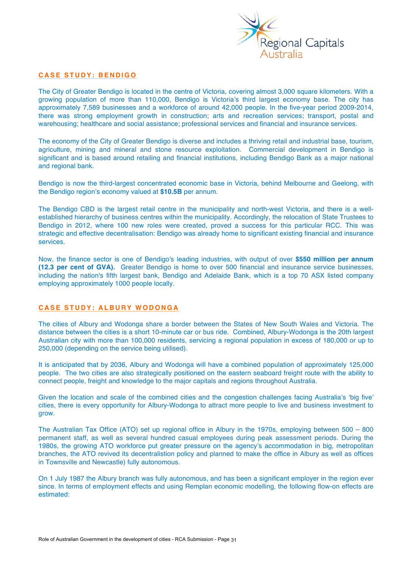

## **CASE STUDY: BENDIGO**

The City of Greater Bendigo is located in the centre of Victoria, covering almost 3,000 square kilometers. With a growing population of more than 110,000, Bendigo is Victoria's third largest economy base. The city has approximately 7,589 businesses and a workforce of around 42,000 people. In the five-year period 2009-2014, there was strong employment growth in construction; arts and recreation services; transport, postal and warehousing; healthcare and social assistance; professional services and financial and insurance services.

The economy of the City of Greater Bendigo is diverse and includes a thriving retail and industrial base, tourism, agriculture, mining and mineral and stone resource exploitation. Commercial development in Bendigo is significant and is based around retailing and financial institutions, including Bendigo Bank as a major national and regional bank.

Bendigo is now the third-largest concentrated economic base in Victoria, behind Melbourne and Geelong, with the Bendigo region's economy valued at **\$10.5B** per annum.

The Bendigo CBD is the largest retail centre in the municipality and north-west Victoria, and there is a wellestablished hierarchy of business centres within the municipality. Accordingly, the relocation of State Trustees to Bendigo in 2012, where 100 new roles were created, proved a success for this particular RCC. This was strategic and effective decentralisation: Bendigo was already home to significant existing financial and insurance services.

Now, the finance sector is one of Bendigo's leading industries, with output of over **\$550 million per annum (12.3 per cent of GVA).** Greater Bendigo is home to over 500 financial and insurance service businesses, including the nation's fifth largest bank, Bendigo and Adelaide Bank, which is a top 70 ASX listed company employing approximately 1000 people locally.

## **CASE STUDY: ALBURY WODONGA**

The cities of Albury and Wodonga share a border between the States of New South Wales and Victoria. The distance between the cities is a short 10-minute car or bus ride. Combined, Albury-Wodonga is the 20th largest Australian city with more than 100,000 residents, servicing a regional population in excess of 180,000 or up to 250,000 (depending on the service being utilised).

It is anticipated that by 2036, Albury and Wodonga will have a combined population of approximately 125,000 people. The two cities are also strategically positioned on the eastern seaboard freight route with the ability to connect people, freight and knowledge to the major capitals and regions throughout Australia.

Given the location and scale of the combined cities and the congestion challenges facing Australia's 'big five' cities, there is every opportunity for Albury-Wodonga to attract more people to live and business investment to grow.

The Australian Tax Office (ATO) set up regional office in Albury in the 1970s, employing between 500 – 800 permanent staff, as well as several hundred casual employees during peak assessment periods. During the 1980s, the growing ATO workforce put greater pressure on the agency's accommodation in big, metropolitan branches, the ATO revived its decentralistion policy and planned to make the office in Albury as well as offices in Townsville and Newcastle) fully autonomous.

On 1 July 1987 the Albury branch was fully autonomous, and has been a significant employer in the region ever since. In terms of employment effects and using Remplan economic modelling, the following flow-on effects are estimated: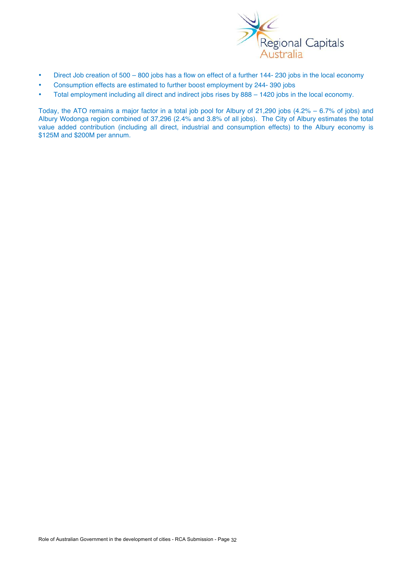

- Direct Job creation of 500 800 jobs has a flow on effect of a further 144- 230 jobs in the local economy
- Consumption effects are estimated to further boost employment by 244- 390 jobs
- Total employment including all direct and indirect jobs rises by 888 1420 jobs in the local economy.

Today, the ATO remains a major factor in a total job pool for Albury of 21,290 jobs (4.2% – 6.7% of jobs) and Albury Wodonga region combined of 37,296 (2.4% and 3.8% of all jobs). The City of Albury estimates the total value added contribution (including all direct, industrial and consumption effects) to the Albury economy is \$125M and \$200M per annum.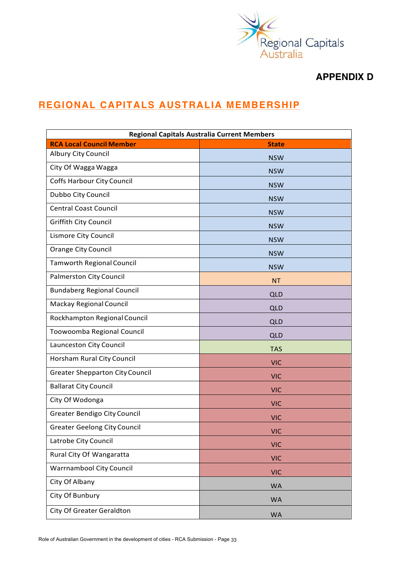

# **APPENDIX D**

# **REGIONAL CAPITALS AUSTRALIA MEMBERSHIP**

| <b>Regional Capitals Australia Current Members</b> |              |
|----------------------------------------------------|--------------|
| <b>RCA Local Council Member</b>                    | <b>State</b> |
| Albury City Council                                | <b>NSW</b>   |
| City Of Wagga Wagga                                | <b>NSW</b>   |
| <b>Coffs Harbour City Council</b>                  | <b>NSW</b>   |
| Dubbo City Council                                 | <b>NSW</b>   |
| <b>Central Coast Council</b>                       | <b>NSW</b>   |
| <b>Griffith City Council</b>                       | <b>NSW</b>   |
| Lismore City Council                               | <b>NSW</b>   |
| <b>Orange City Council</b>                         | <b>NSW</b>   |
| <b>Tamworth Regional Council</b>                   | <b>NSW</b>   |
| <b>Palmerston City Council</b>                     | <b>NT</b>    |
| <b>Bundaberg Regional Council</b>                  | <b>QLD</b>   |
| <b>Mackay Regional Council</b>                     | QLD          |
| Rockhampton Regional Council                       | QLD          |
| Toowoomba Regional Council                         | QLD          |
| Launceston City Council                            | <b>TAS</b>   |
| Horsham Rural City Council                         | <b>VIC</b>   |
| <b>Greater Shepparton City Council</b>             | <b>VIC</b>   |
| <b>Ballarat City Council</b>                       | <b>VIC</b>   |
| City Of Wodonga                                    | <b>VIC</b>   |
| <b>Greater Bendigo City Council</b>                | <b>VIC</b>   |
| <b>Greater Geelong City Council</b>                | <b>VIC</b>   |
| Latrobe City Council                               | <b>VIC</b>   |
| Rural City Of Wangaratta                           | <b>VIC</b>   |
| <b>Warrnambool City Council</b>                    | <b>VIC</b>   |
| City Of Albany                                     | <b>WA</b>    |
| City Of Bunbury                                    | <b>WA</b>    |
| City Of Greater Geraldton                          | <b>WA</b>    |